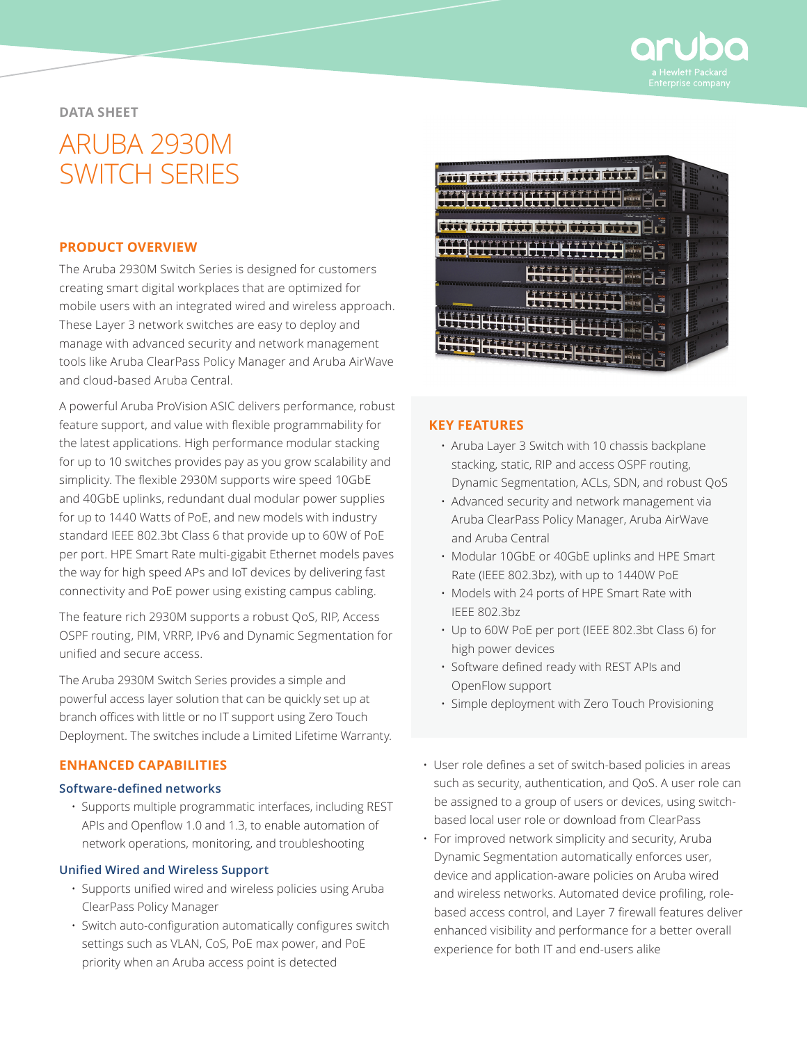

## **DATA SHEET**

# ARUBA 2930M SWITCH SERIES

## **PRODUCT OVERVIEW**

The Aruba 2930M Switch Series is designed for customers creating smart digital workplaces that are optimized for mobile users with an integrated wired and wireless approach. These Layer 3 network switches are easy to deploy and manage with advanced security and network management tools like Aruba ClearPass Policy Manager and Aruba AirWave and cloud-based Aruba Central.

A powerful Aruba ProVision ASIC delivers performance, robust feature support, and value with flexible programmability for the latest applications. High performance modular stacking for up to 10 switches provides pay as you grow scalability and simplicity. The flexible 2930M supports wire speed 10GbE and 40GbE uplinks, redundant dual modular power supplies for up to 1440 Watts of PoE, and new models with industry standard IEEE 802.3bt Class 6 that provide up to 60W of PoE per port. HPE Smart Rate multi-gigabit Ethernet models paves the way for high speed APs and IoT devices by delivering fast connectivity and PoE power using existing campus cabling.

The feature rich 2930M supports a robust QoS, RIP, Access OSPF routing, PIM, VRRP, IPv6 and Dynamic Segmentation for unified and secure access.

The Aruba 2930M Switch Series provides a simple and powerful access layer solution that can be quickly set up at branch offices with little or no IT support using Zero Touch Deployment. The switches include a Limited Lifetime Warranty.

## **ENHANCED CAPABILITIES**

#### **Software-defined networks**

• Supports multiple programmatic interfaces, including REST APIs and Openflow 1.0 and 1.3, to enable automation of network operations, monitoring, and troubleshooting

### **Unified Wired and Wireless Support**

- Supports unified wired and wireless policies using Aruba ClearPass Policy Manager
- Switch auto-configuration automatically configures switch settings such as VLAN, CoS, PoE max power, and PoE priority when an Aruba access point is detected



## **KEY FEATURES**

- Aruba Layer 3 Switch with 10 chassis backplane stacking, static, RIP and access OSPF routing, Dynamic Segmentation, ACLs, SDN, and robust QoS
- Advanced security and network management via Aruba ClearPass Policy Manager, Aruba AirWave and Aruba Central
- Modular 10GbE or 40GbE uplinks and HPE Smart Rate (IEEE 802.3bz), with up to 1440W PoE
- Models with 24 ports of HPE Smart Rate with IEEE 802.3bz
- Up to 60W PoE per port (IEEE 802.3bt Class 6) for high power devices
- Software defined ready with REST APIs and OpenFlow support
- Simple deployment with Zero Touch Provisioning
- User role defines a set of switch-based policies in areas such as security, authentication, and QoS. A user role can be assigned to a group of users or devices, using switchbased local user role or download from ClearPass
- For improved network simplicity and security, Aruba Dynamic Segmentation automatically enforces user, device and application-aware policies on Aruba wired and wireless networks. Automated device profiling, rolebased access control, and Layer 7 firewall features deliver enhanced visibility and performance for a better overall experience for both IT and end-users alike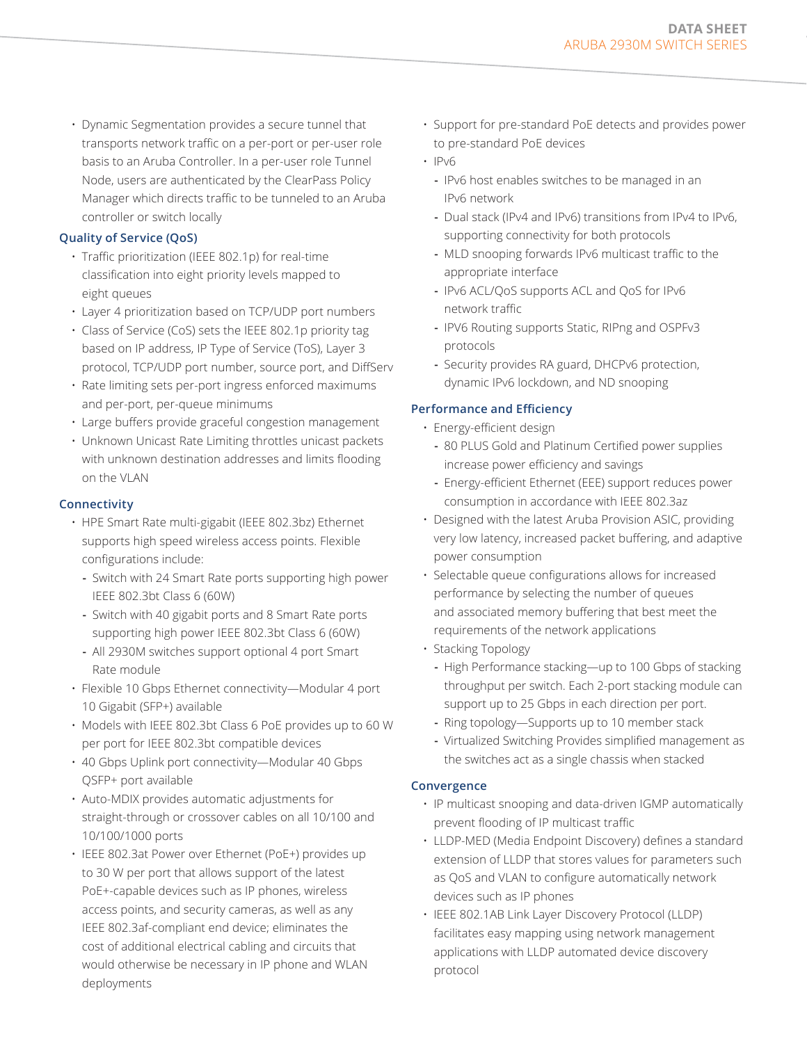• Dynamic Segmentation provides a secure tunnel that transports network traffic on a per-port or per-user role basis to an Aruba Controller. In a per-user role Tunnel Node, users are authenticated by the ClearPass Policy Manager which directs traffic to be tunneled to an Aruba controller or switch locally

## **Quality of Service (QoS)**

- Traffic prioritization (IEEE 802.1p) for real-time classification into eight priority levels mapped to eight queues
- Layer 4 prioritization based on TCP/UDP port numbers
- Class of Service (CoS) sets the IEEE 802.1p priority tag based on IP address, IP Type of Service (ToS), Layer 3 protocol, TCP/UDP port number, source port, and DiffServ
- Rate limiting sets per-port ingress enforced maximums and per-port, per-queue minimums
- Large buffers provide graceful congestion management
- Unknown Unicast Rate Limiting throttles unicast packets with unknown destination addresses and limits flooding on the VLAN

## **Connectivity**

- HPE Smart Rate multi-gigabit (IEEE 802.3bz) Ethernet supports high speed wireless access points. Flexible configurations include:
	- **-** Switch with 24 Smart Rate ports supporting high power IEEE 802.3bt Class 6 (60W)
	- **-** Switch with 40 gigabit ports and 8 Smart Rate ports supporting high power IEEE 802.3bt Class 6 (60W)
	- **-** All 2930M switches support optional 4 port Smart Rate module
- Flexible 10 Gbps Ethernet connectivity—Modular 4 port 10 Gigabit (SFP+) available
- Models with IEEE 802.3bt Class 6 PoE provides up to 60 W per port for IEEE 802.3bt compatible devices
- 40 Gbps Uplink port connectivity—Modular 40 Gbps QSFP+ port available
- Auto-MDIX provides automatic adjustments for straight-through or crossover cables on all 10/100 and 10/100/1000 ports
- IEEE 802.3at Power over Ethernet (PoE+) provides up to 30 W per port that allows support of the latest PoE+-capable devices such as IP phones, wireless access points, and security cameras, as well as any IEEE 802.3af-compliant end device; eliminates the cost of additional electrical cabling and circuits that would otherwise be necessary in IP phone and WLAN deployments
- Support for pre-standard PoE detects and provides power to pre-standard PoE devices
- $\cdot$  IPv6
	- **-** IPv6 host enables switches to be managed in an IPv6 network
	- **-** Dual stack (IPv4 and IPv6) transitions from IPv4 to IPv6, supporting connectivity for both protocols
	- **-** MLD snooping forwards IPv6 multicast traffic to the appropriate interface
	- **-** IPv6 ACL/QoS supports ACL and QoS for IPv6 network traffic
	- **-** IPV6 Routing supports Static, RIPng and OSPFv3 protocols
	- **-** Security provides RA guard, DHCPv6 protection, dynamic IPv6 lockdown, and ND snooping

## **Performance and Efficiency**

- Energy-efficient design
	- **-** 80 PLUS Gold and Platinum Certified power supplies increase power efficiency and savings
	- **-** Energy-efficient Ethernet (EEE) support reduces power consumption in accordance with IEEE 802.3az
- Designed with the latest Aruba Provision ASIC, providing very low latency, increased packet buffering, and adaptive power consumption
- Selectable queue configurations allows for increased performance by selecting the number of queues and associated memory buffering that best meet the requirements of the network applications
- Stacking Topology
	- **-** High Performance stacking—up to 100 Gbps of stacking throughput per switch. Each 2-port stacking module can support up to 25 Gbps in each direction per port.
	- **-** Ring topology—Supports up to 10 member stack
	- **-** Virtualized Switching Provides simplified management as the switches act as a single chassis when stacked

#### **Convergence**

- IP multicast snooping and data-driven IGMP automatically prevent flooding of IP multicast traffic
- LLDP-MED (Media Endpoint Discovery) defines a standard extension of LLDP that stores values for parameters such as QoS and VLAN to configure automatically network devices such as IP phones
- IEEE 802.1AB Link Layer Discovery Protocol (LLDP) facilitates easy mapping using network management applications with LLDP automated device discovery protocol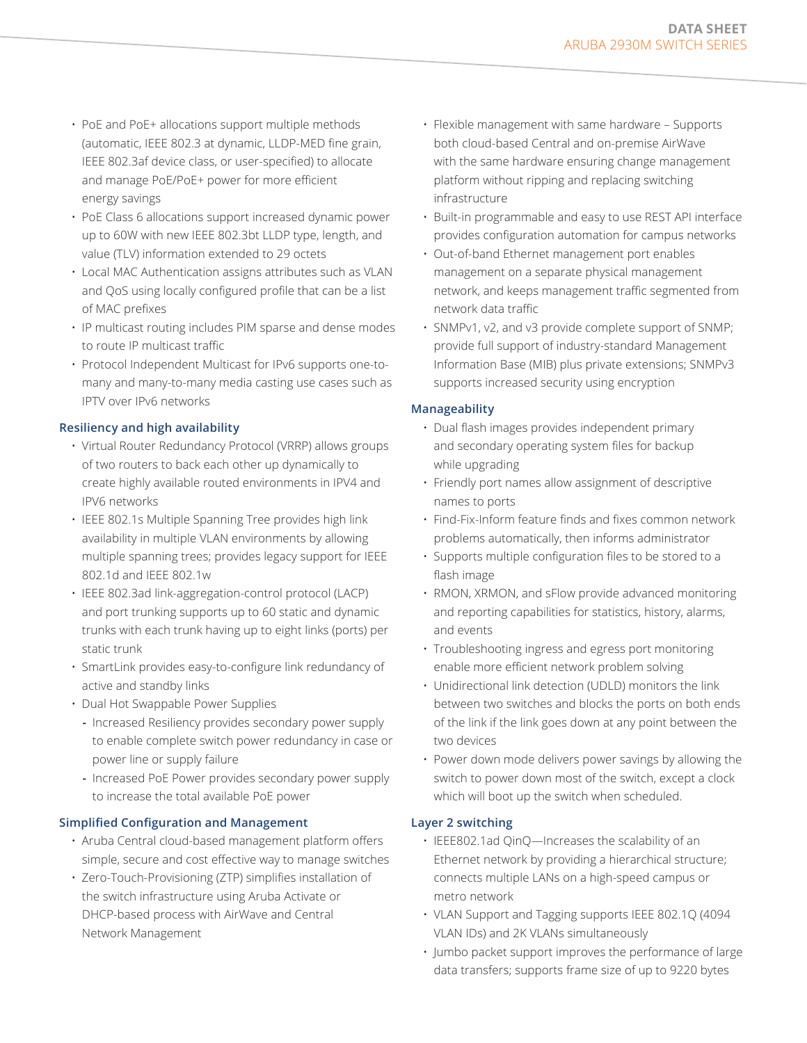- PoE and PoE+ allocations support multiple methods (automatic, IEEE 802.3 at dynamic, LLDP-MED fine grain, IEEE 802.3af device class, or user-specified) to allocate and manage PoE/PoE+ power for more efficient energy savings
- PoE Class 6 allocations support increased dynamic power up to 60W with new IEEE 802.3bt LLDP type, length, and value (TLV) information extended to 29 octets
- Local MAC Authentication assigns attributes such as VLAN and QoS using locally configured profile that can be a list of MAC prefixes
- IP multicast routing includes PIM sparse and dense modes to route IP multicast traffic
- Protocol Independent Multicast for IPv6 supports one-tomany and many-to-many media casting use cases such as IPTV over IPv6 networks

## **Resiliency and high availability**

- Virtual Router Redundancy Protocol (VRRP) allows groups of two routers to back each other up dynamically to create highly available routed environments in IPV4 and IPV6 networks
- IEEE 802.1s Multiple Spanning Tree provides high link availability in multiple VLAN environments by allowing multiple spanning trees; provides legacy support for IEEE 802.1d and IEEE 802.1w
- IEEE 802.3ad link-aggregation-control protocol (LACP) and port trunking supports up to 60 static and dynamic trunks with each trunk having up to eight links (ports) per static trunk
- SmartLink provides easy-to-configure link redundancy of active and standby links
- Dual Hot Swappable Power Supplies
	- **-** Increased Resiliency provides secondary power supply to enable complete switch power redundancy in case or power line or supply failure
	- **-** Increased PoE Power provides secondary power supply to increase the total available PoE power

# **Simplified Configuration and Management**

- Aruba Central cloud-based management platform offers simple, secure and cost effective way to manage switches
- Zero-Touch-Provisioning (ZTP) simplifies installation of the switch infrastructure using Aruba Activate or DHCP-based process with AirWave and Central Network Management
- Flexible management with same hardware Supports both cloud-based Central and on-premise AirWave with the same hardware ensuring change management platform without ripping and replacing switching infrastructure
- Built-in programmable and easy to use REST API interface provides configuration automation for campus networks
- Out-of-band Ethernet management port enables management on a separate physical management network, and keeps management traffic segmented from network data traffic
- SNMPv1, v2, and v3 provide complete support of SNMP; provide full support of industry-standard Management Information Base (MIB) plus private extensions; SNMPv3 supports increased security using encryption

## **Manageability**

- Dual flash images provides independent primary and secondary operating system files for backup while upgrading
- Friendly port names allow assignment of descriptive names to ports
- Find-Fix-Inform feature finds and fixes common network problems automatically, then informs administrator
- Supports multiple configuration files to be stored to a flash image
- RMON, XRMON, and sFlow provide advanced monitoring and reporting capabilities for statistics, history, alarms, and events
- Troubleshooting ingress and egress port monitoring enable more efficient network problem solving
- Unidirectional link detection (UDLD) monitors the link between two switches and blocks the ports on both ends of the link if the link goes down at any point between the two devices
- Power down mode delivers power savings by allowing the switch to power down most of the switch, except a clock which will boot up the switch when scheduled.

# **Layer 2 switching**

- IEEE802.1ad QinQ—Increases the scalability of an Ethernet network by providing a hierarchical structure; connects multiple LANs on a high-speed campus or metro network
- VLAN Support and Tagging supports IEEE 802.1Q (4094 VLAN IDs) and 2K VLANs simultaneously
- Jumbo packet support improves the performance of large data transfers; supports frame size of up to 9220 bytes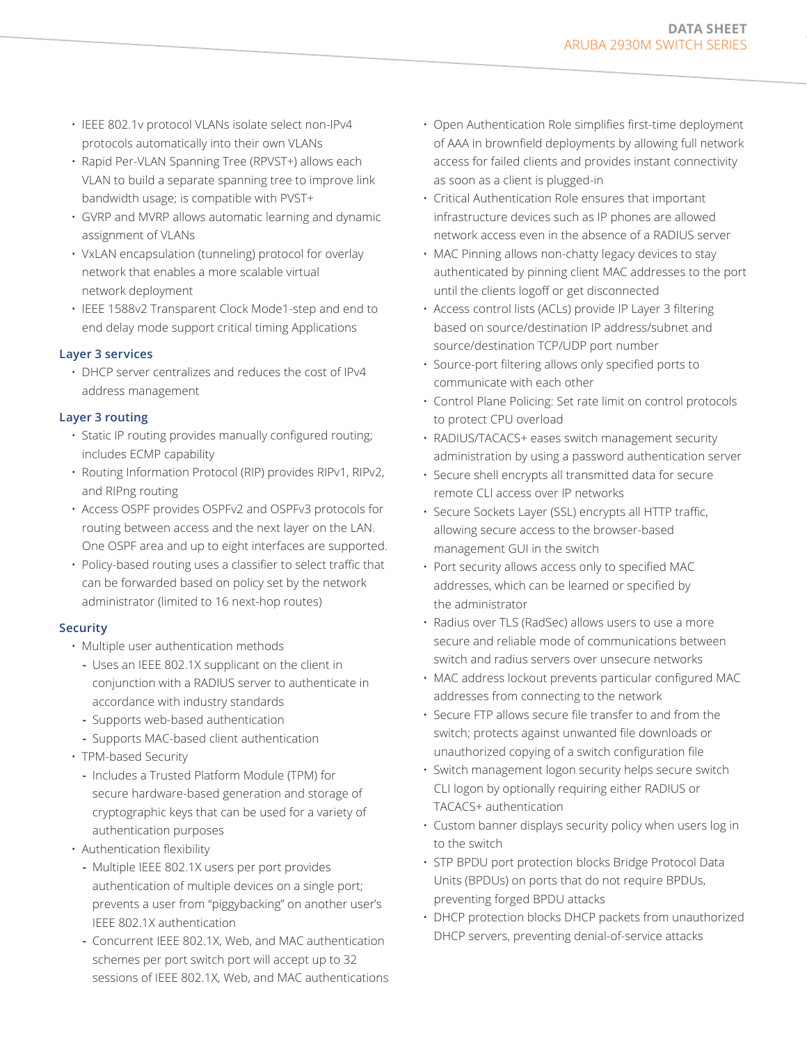- IEEE 802.1v protocol VLANs isolate select non-IPv4 protocols automatically into their own VLANs
- Rapid Per-VLAN Spanning Tree (RPVST+) allows each VLAN to build a separate spanning tree to improve link bandwidth usage; is compatible with PVST+
- GVRP and MVRP allows automatic learning and dynamic assignment of VLANs
- VxLAN encapsulation (tunneling) protocol for overlay network that enables a more scalable virtual network deployment
- IEEE 1588v2 Transparent Clock Mode1-step and end to end delay mode support critical timing Applications

## **Layer 3 services**

• DHCP server centralizes and reduces the cost of IPv4 address management

## **Layer 3 routing**

- Static IP routing provides manually configured routing; includes ECMP capability
- Routing Information Protocol (RIP) provides RIPv1, RIPv2, and RIPng routing
- Access OSPF provides OSPFv2 and OSPFv3 protocols for routing between access and the next layer on the LAN. One OSPF area and up to eight interfaces are supported.
- Policy-based routing uses a classifier to select traffic that can be forwarded based on policy set by the network administrator (limited to 16 next-hop routes)

## **Security**

- Multiple user authentication methods
	- **-** Uses an IEEE 802.1X supplicant on the client in conjunction with a RADIUS server to authenticate in accordance with industry standards
	- **-** Supports web-based authentication
	- **-** Supports MAC-based client authentication
- TPM-based Security
	- **-** Includes a Trusted Platform Module (TPM) for secure hardware-based generation and storage of cryptographic keys that can be used for a variety of authentication purposes
- Authentication flexibility
	- **-** Multiple IEEE 802.1X users per port provides authentication of multiple devices on a single port; prevents a user from "piggybacking" on another user's IEEE 802.1X authentication
	- **-** Concurrent IEEE 802.1X, Web, and MAC authentication schemes per port switch port will accept up to 32 sessions of IEEE 802.1X, Web, and MAC authentications
- Open Authentication Role simplifies first-time deployment of AAA in brownfield deployments by allowing full network access for failed clients and provides instant connectivity as soon as a client is plugged-in
- Critical Authentication Role ensures that important infrastructure devices such as IP phones are allowed network access even in the absence of a RADIUS server
- MAC Pinning allows non-chatty legacy devices to stay authenticated by pinning client MAC addresses to the port until the clients logoff or get disconnected
- Access control lists (ACLs) provide IP Layer 3 filtering based on source/destination IP address/subnet and source/destination TCP/UDP port number
- Source-port filtering allows only specified ports to communicate with each other
- Control Plane Policing: Set rate limit on control protocols to protect CPU overload
- RADIUS/TACACS+ eases switch management security administration by using a password authentication server
- Secure shell encrypts all transmitted data for secure remote CLI access over IP networks
- Secure Sockets Layer (SSL) encrypts all HTTP traffic, allowing secure access to the browser-based management GUI in the switch
- Port security allows access only to specified MAC addresses, which can be learned or specified by the administrator
- Radius over TLS (RadSec) allows users to use a more secure and reliable mode of communications between switch and radius servers over unsecure networks
- MAC address lockout prevents particular configured MAC addresses from connecting to the network
- Secure FTP allows secure file transfer to and from the switch; protects against unwanted file downloads or unauthorized copying of a switch configuration file
- Switch management logon security helps secure switch CLI logon by optionally requiring either RADIUS or TACACS+ authentication
- Custom banner displays security policy when users log in to the switch
- STP BPDU port protection blocks Bridge Protocol Data Units (BPDUs) on ports that do not require BPDUs, preventing forged BPDU attacks
- DHCP protection blocks DHCP packets from unauthorized DHCP servers, preventing denial-of-service attacks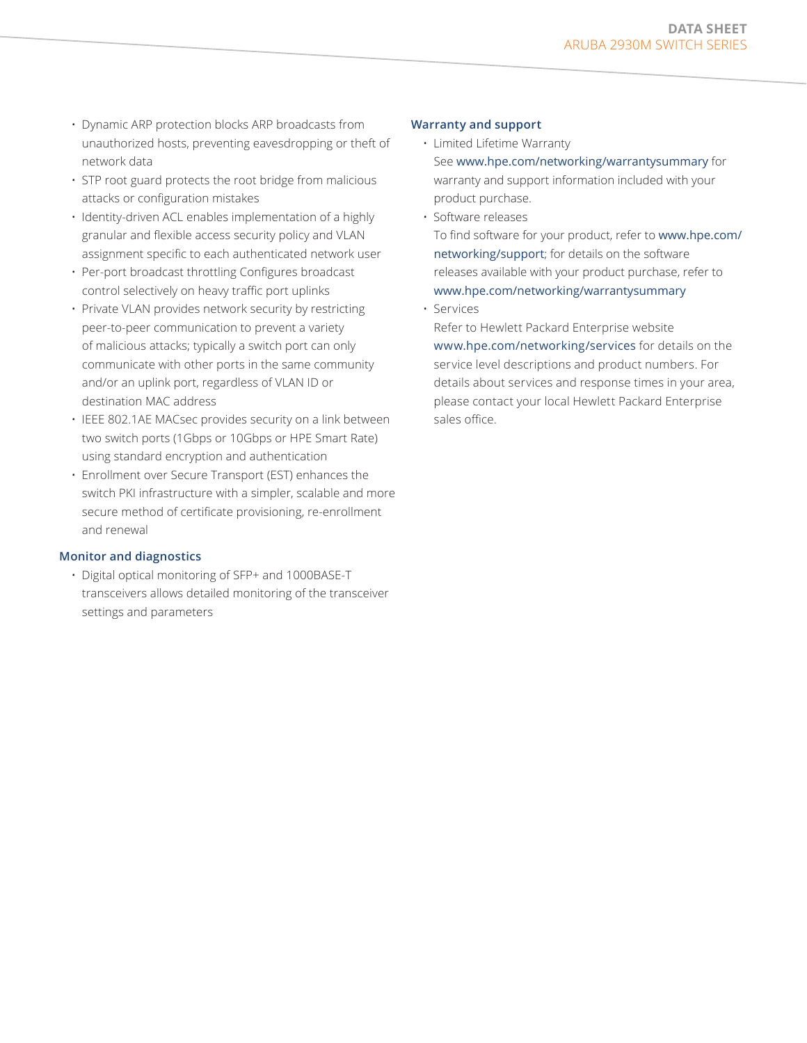- Dynamic ARP protection blocks ARP broadcasts from unauthorized hosts, preventing eavesdropping or theft of network data
- STP root guard protects the root bridge from malicious attacks or configuration mistakes
- Identity-driven ACL enables implementation of a highly granular and flexible access security policy and VLAN assignment specific to each authenticated network user
- Per-port broadcast throttling Configures broadcast control selectively on heavy traffic port uplinks
- Private VLAN provides network security by restricting peer-to-peer communication to prevent a variety of malicious attacks; typically a switch port can only communicate with other ports in the same community and/or an uplink port, regardless of VLAN ID or destination MAC address
- IEEE 802.1AE MACsec provides security on a link between two switch ports (1Gbps or 10Gbps or HPE Smart Rate) using standard encryption and authentication
- Enrollment over Secure Transport (EST) enhances the switch PKI infrastructure with a simpler, scalable and more secure method of certificate provisioning, re-enrollment and renewal

## **Monitor and diagnostics**

• Digital optical monitoring of SFP+ and 1000BASE-T transceivers allows detailed monitoring of the transceiver settings and parameters

### **Warranty and support**

- Limited Lifetime Warranty See [www.hpe.com/networking/warrantysummary](http://www.hpe.com/networking/warrantysummary) for warranty and support information included with your product purchase.
- Software releases

To find software for your product, refer to [www.hpe.com/](http://www.hpe.com/networking/support) [networking/support](http://www.hpe.com/networking/support); for details on the software releases available with your product purchase, refer to [www.hpe.com/networking/warrantysummary](http://www.hpe.com/networking/warrantysummary)

• Services

Refer to Hewlett Packard Enterprise website [www.hpe.com/networking/services](https://www.hpe.com/networking/services) for details on the service level descriptions and product numbers. For details about services and response times in your area, please contact your local Hewlett Packard Enterprise sales office.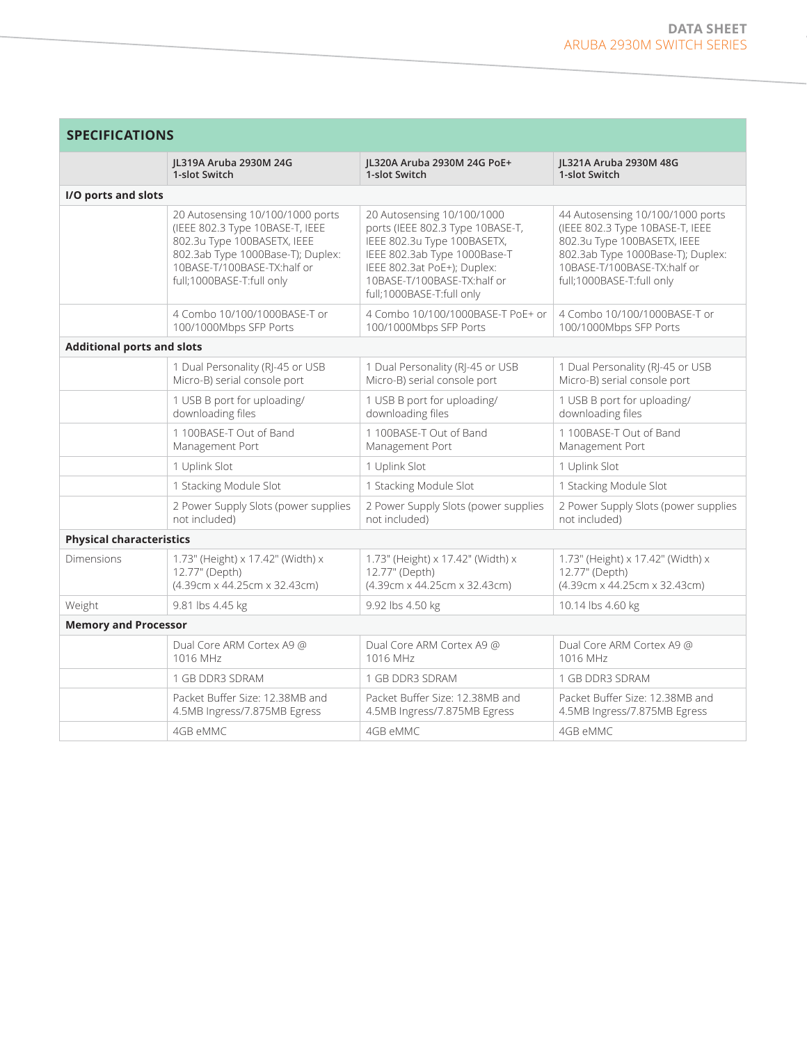| SPECIFICATIONS                    |                                                                                                                                                                                                     |                                                                                                                                                                                                                          |                                                                                                                                                                                                     |
|-----------------------------------|-----------------------------------------------------------------------------------------------------------------------------------------------------------------------------------------------------|--------------------------------------------------------------------------------------------------------------------------------------------------------------------------------------------------------------------------|-----------------------------------------------------------------------------------------------------------------------------------------------------------------------------------------------------|
|                                   | JL319A Aruba 2930M 24G<br>1-slot Switch                                                                                                                                                             | JL320A Aruba 2930M 24G PoE+<br>1-slot Switch                                                                                                                                                                             | IL321A Aruba 2930M 48G<br>1-slot Switch                                                                                                                                                             |
| I/O ports and slots               |                                                                                                                                                                                                     |                                                                                                                                                                                                                          |                                                                                                                                                                                                     |
|                                   | 20 Autosensing 10/100/1000 ports<br>(IEEE 802.3 Type 10BASE-T, IEEE<br>802.3u Type 100BASETX, IEEE<br>802.3ab Type 1000Base-T); Duplex:<br>10BASE-T/100BASE-TX:half or<br>full;1000BASE-T:full only | 20 Autosensing 10/100/1000<br>ports (IEEE 802.3 Type 10BASE-T,<br>IEEE 802.3u Type 100BASETX,<br>IEEE 802.3ab Type 1000Base-T<br>IEEE 802.3at PoE+); Duplex:<br>10BASE-T/100BASE-TX:half or<br>full;1000BASE-T:full only | 44 Autosensing 10/100/1000 ports<br>(IEEE 802.3 Type 10BASE-T, IEEE<br>802.3u Type 100BASETX, IEEE<br>802.3ab Type 1000Base-T); Duplex:<br>10BASE-T/100BASE-TX:half or<br>full;1000BASE-T:full only |
|                                   | 4 Combo 10/100/1000BASE-T or<br>100/1000Mbps SFP Ports                                                                                                                                              | 4 Combo 10/100/1000BASE-T PoE+ or<br>100/1000Mbps SFP Ports                                                                                                                                                              | 4 Combo 10/100/1000BASE-T or<br>100/1000Mbps SFP Ports                                                                                                                                              |
| <b>Additional ports and slots</b> |                                                                                                                                                                                                     |                                                                                                                                                                                                                          |                                                                                                                                                                                                     |
|                                   | 1 Dual Personality (RJ-45 or USB<br>Micro-B) serial console port                                                                                                                                    | 1 Dual Personality (RJ-45 or USB<br>Micro-B) serial console port                                                                                                                                                         | 1 Dual Personality (RJ-45 or USB<br>Micro-B) serial console port                                                                                                                                    |
|                                   | 1 USB B port for uploading/<br>downloading files                                                                                                                                                    | 1 USB B port for uploading/<br>downloading files                                                                                                                                                                         | 1 USB B port for uploading/<br>downloading files                                                                                                                                                    |
|                                   | 1 100BASE-T Out of Band<br>Management Port                                                                                                                                                          | 1 100BASE-T Out of Band<br>Management Port                                                                                                                                                                               | 1 100BASE-T Out of Band<br>Management Port                                                                                                                                                          |
|                                   | 1 Uplink Slot                                                                                                                                                                                       | 1 Uplink Slot                                                                                                                                                                                                            | 1 Uplink Slot                                                                                                                                                                                       |
|                                   | 1 Stacking Module Slot                                                                                                                                                                              | 1 Stacking Module Slot                                                                                                                                                                                                   | 1 Stacking Module Slot                                                                                                                                                                              |
|                                   | 2 Power Supply Slots (power supplies<br>not included)                                                                                                                                               | 2 Power Supply Slots (power supplies<br>not included)                                                                                                                                                                    | 2 Power Supply Slots (power supplies<br>not included)                                                                                                                                               |
| <b>Physical characteristics</b>   |                                                                                                                                                                                                     |                                                                                                                                                                                                                          |                                                                                                                                                                                                     |
| <b>Dimensions</b>                 | 1.73" (Height) x 17.42" (Width) x<br>12.77" (Depth)<br>(4.39cm x 44.25cm x 32.43cm)                                                                                                                 | 1.73" (Height) x 17.42" (Width) x<br>12.77" (Depth)<br>(4.39cm x 44.25cm x 32.43cm)                                                                                                                                      | 1.73" (Height) x 17.42" (Width) x<br>12.77" (Depth)<br>(4.39cm x 44.25cm x 32.43cm)                                                                                                                 |
| Weight                            | 9.81 lbs 4.45 kg                                                                                                                                                                                    | 9.92 lbs 4.50 kg                                                                                                                                                                                                         | 10.14 lbs 4.60 kg                                                                                                                                                                                   |
| <b>Memory and Processor</b>       |                                                                                                                                                                                                     |                                                                                                                                                                                                                          |                                                                                                                                                                                                     |
|                                   | Dual Core ARM Cortex A9 @<br>1016 MHz                                                                                                                                                               | Dual Core ARM Cortex A9 @<br>1016 MHz                                                                                                                                                                                    | Dual Core ARM Cortex A9 @<br>1016 MHz                                                                                                                                                               |
|                                   | 1 GB DDR3 SDRAM                                                                                                                                                                                     | 1 GB DDR3 SDRAM                                                                                                                                                                                                          | 1 GB DDR3 SDRAM                                                                                                                                                                                     |
|                                   | Packet Buffer Size: 12.38MB and<br>4.5MB Ingress/7.875MB Egress                                                                                                                                     | Packet Buffer Size: 12.38MB and<br>4.5MB Ingress/7.875MB Egress                                                                                                                                                          | Packet Buffer Size: 12.38MB and<br>4.5MB Ingress/7.875MB Egress                                                                                                                                     |
|                                   | 4GB eMMC                                                                                                                                                                                            | 4GB eMMC                                                                                                                                                                                                                 | 4GB eMMC                                                                                                                                                                                            |

**SPECIFICATIONS**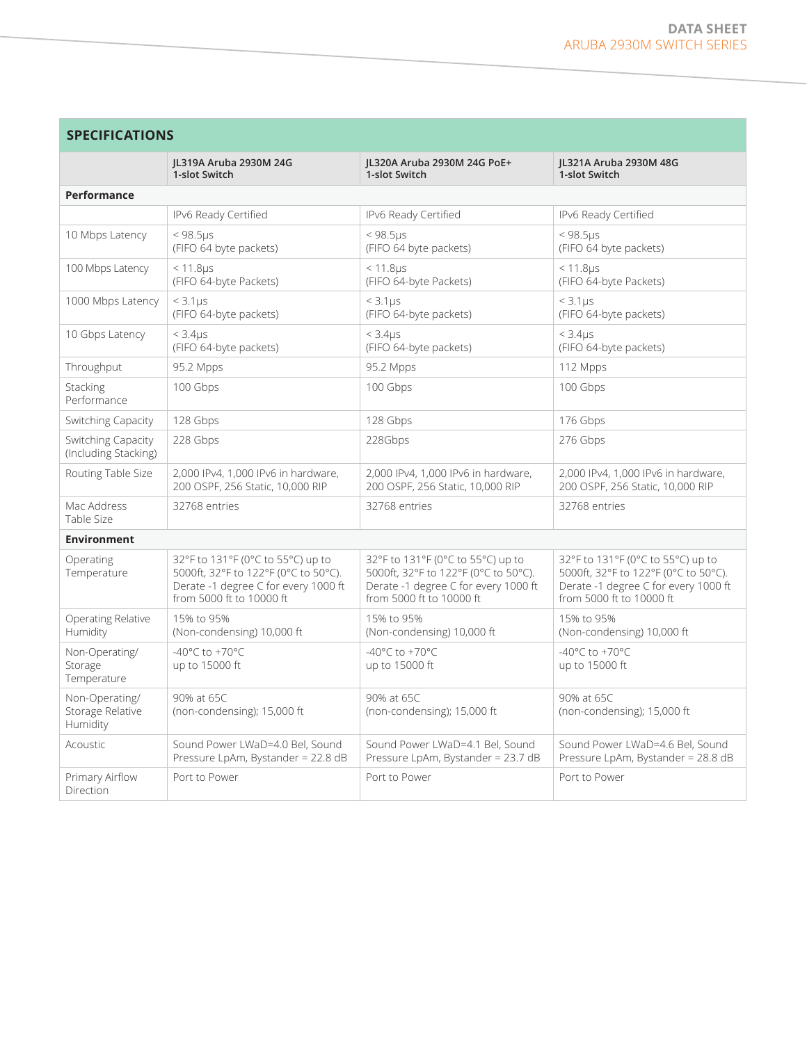| <b>SPECIFICATIONS</b>                          |                                                                                                                                               |                                                                                                                                               |                                                                                                                                               |
|------------------------------------------------|-----------------------------------------------------------------------------------------------------------------------------------------------|-----------------------------------------------------------------------------------------------------------------------------------------------|-----------------------------------------------------------------------------------------------------------------------------------------------|
|                                                | IL319A Aruba 2930M 24G<br>1-slot Switch                                                                                                       | IL320A Aruba 2930M 24G PoE+<br>1-slot Switch                                                                                                  | IL321A Aruba 2930M 48G<br>1-slot Switch                                                                                                       |
| Performance                                    |                                                                                                                                               |                                                                                                                                               |                                                                                                                                               |
|                                                | IPv6 Ready Certified                                                                                                                          | IPv6 Ready Certified                                                                                                                          | IPv6 Ready Certified                                                                                                                          |
| 10 Mbps Latency                                | $< 98.5 \mu s$<br>(FIFO 64 byte packets)                                                                                                      | $< 98.5 \mu s$<br>(FIFO 64 byte packets)                                                                                                      | $< 98.5 \mu s$<br>(FIFO 64 byte packets)                                                                                                      |
| 100 Mbps Latency                               | $< 11.8 \mu s$<br>(FIFO 64-byte Packets)                                                                                                      | < 11.8 <sub>US</sub><br>(FIFO 64-byte Packets)                                                                                                | $< 11.8 \mu s$<br>(FIFO 64-byte Packets)                                                                                                      |
| 1000 Mbps Latency                              | < 3.1us<br>(FIFO 64-byte packets)                                                                                                             | $<$ 3.1 $\mu$ s<br>(FIFO 64-byte packets)                                                                                                     | $<$ 3.1 $\mu$ s<br>(FIFO 64-byte packets)                                                                                                     |
| 10 Gbps Latency                                | $<$ 3.4 $\mu$ s<br>(FIFO 64-byte packets)                                                                                                     | < 3.4 <sub>US</sub><br>(FIFO 64-byte packets)                                                                                                 | < 3.4 <sub>US</sub><br>(FIFO 64-byte packets)                                                                                                 |
| Throughput                                     | 95.2 Mpps                                                                                                                                     | 95.2 Mpps                                                                                                                                     | 112 Mpps                                                                                                                                      |
| Stacking<br>Performance                        | 100 Gbps                                                                                                                                      | 100 Gbps                                                                                                                                      | 100 Gbps                                                                                                                                      |
| Switching Capacity                             | 128 Gbps                                                                                                                                      | 128 Gbps                                                                                                                                      | 176 Gbps                                                                                                                                      |
| Switching Capacity<br>(Including Stacking)     | 228 Gbps                                                                                                                                      | 228Gbps                                                                                                                                       | 276 Gbps                                                                                                                                      |
| Routing Table Size                             | 2,000 IPv4, 1,000 IPv6 in hardware,<br>200 OSPF, 256 Static, 10,000 RIP                                                                       | 2,000 IPv4, 1,000 IPv6 in hardware,<br>200 OSPF, 256 Static, 10,000 RIP                                                                       | 2,000 IPv4, 1,000 IPv6 in hardware,<br>200 OSPF, 256 Static, 10,000 RIP                                                                       |
| Mac Address<br>Table Size                      | 32768 entries                                                                                                                                 | 32768 entries                                                                                                                                 | 32768 entries                                                                                                                                 |
| <b>Environment</b>                             |                                                                                                                                               |                                                                                                                                               |                                                                                                                                               |
| Operating<br>Temperature                       | 32°F to 131°F (0°C to 55°C) up to<br>5000ft, 32°F to 122°F (0°C to 50°C).<br>Derate -1 degree C for every 1000 ft<br>from 5000 ft to 10000 ft | 32°F to 131°F (0°C to 55°C) up to<br>5000ft, 32°F to 122°F (0°C to 50°C).<br>Derate -1 degree C for every 1000 ft<br>from 5000 ft to 10000 ft | 32°F to 131°F (0°C to 55°C) up to<br>5000ft, 32°F to 122°F (0°C to 50°C).<br>Derate -1 degree C for every 1000 ft<br>from 5000 ft to 10000 ft |
| Operating Relative<br>Humidity                 | 15% to 95%<br>(Non-condensing) 10,000 ft                                                                                                      | 15% to 95%<br>(Non-condensing) 10,000 ft                                                                                                      | 15% to 95%<br>(Non-condensing) 10,000 ft                                                                                                      |
| Non-Operating/<br>Storage<br>Temperature       | -40 $^{\circ}$ C to +70 $^{\circ}$ C<br>up to 15000 ft                                                                                        | -40°C to +70°C<br>up to 15000 ft                                                                                                              | -40 $^{\circ}$ C to +70 $^{\circ}$ C<br>up to 15000 ft                                                                                        |
| Non-Operating/<br>Storage Relative<br>Humidity | 90% at 65C<br>(non-condensing); 15,000 ft                                                                                                     | 90% at 65C<br>(non-condensing); 15,000 ft                                                                                                     | 90% at 65C<br>(non-condensing); 15,000 ft                                                                                                     |
| Acoustic                                       | Sound Power LWaD=4.0 Bel, Sound<br>Pressure LpAm, Bystander = 22.8 dB                                                                         | Sound Power LWaD=4.1 Bel, Sound<br>Pressure LpAm, Bystander = 23.7 dB                                                                         | Sound Power LWaD=4.6 Bel, Sound<br>Pressure LpAm, Bystander = 28.8 dB                                                                         |
| Primary Airflow<br>Direction                   | Port to Power                                                                                                                                 | Port to Power                                                                                                                                 | Port to Power                                                                                                                                 |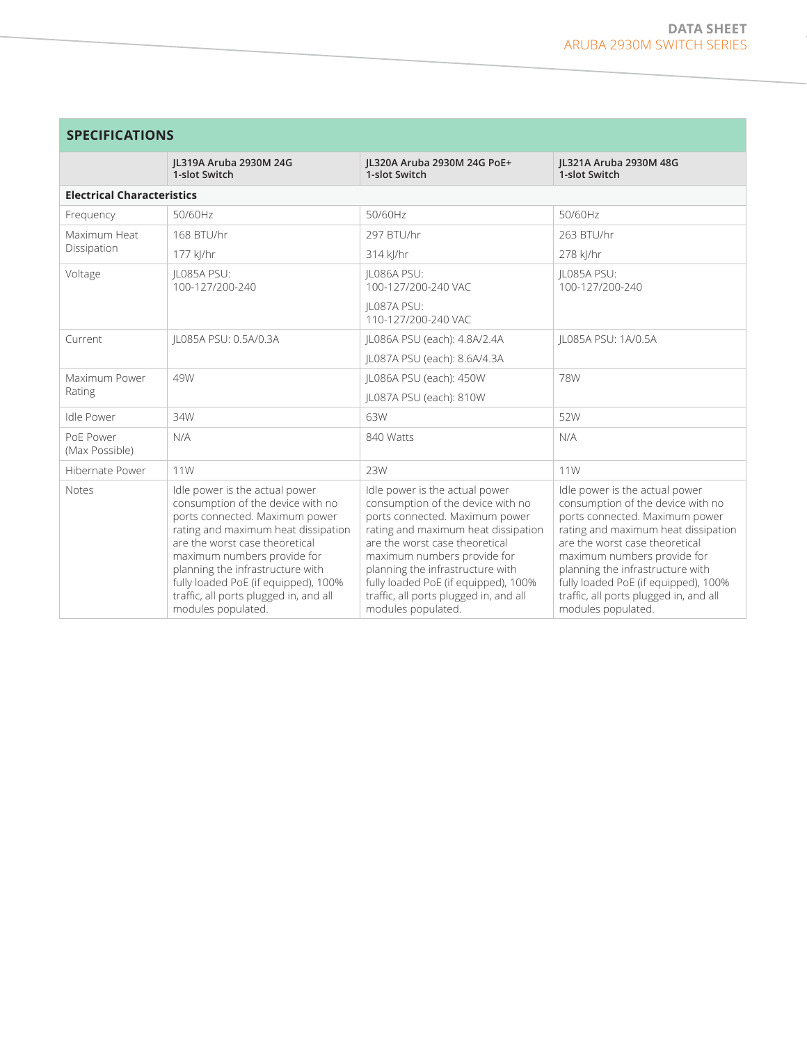| <b>SPECIFICATIONS</b>       |                                                                                                                                                                                                                                                                                                                                                           |                                                                                                                                                                                                                                                                                                                                                           |                                                                                                                                                                                                                                                                                                                                                           |  |
|-----------------------------|-----------------------------------------------------------------------------------------------------------------------------------------------------------------------------------------------------------------------------------------------------------------------------------------------------------------------------------------------------------|-----------------------------------------------------------------------------------------------------------------------------------------------------------------------------------------------------------------------------------------------------------------------------------------------------------------------------------------------------------|-----------------------------------------------------------------------------------------------------------------------------------------------------------------------------------------------------------------------------------------------------------------------------------------------------------------------------------------------------------|--|
|                             | IL319A Aruba 2930M 24G<br>1-slot Switch                                                                                                                                                                                                                                                                                                                   | JL320A Aruba 2930M 24G PoE+<br>1-slot Switch                                                                                                                                                                                                                                                                                                              | JL321A Aruba 2930M 48G<br>1-slot Switch                                                                                                                                                                                                                                                                                                                   |  |
|                             | <b>Electrical Characteristics</b>                                                                                                                                                                                                                                                                                                                         |                                                                                                                                                                                                                                                                                                                                                           |                                                                                                                                                                                                                                                                                                                                                           |  |
| Frequency                   | 50/60Hz                                                                                                                                                                                                                                                                                                                                                   | 50/60Hz                                                                                                                                                                                                                                                                                                                                                   | 50/60Hz                                                                                                                                                                                                                                                                                                                                                   |  |
| Maximum Heat                | 168 BTU/hr                                                                                                                                                                                                                                                                                                                                                | 297 BTU/hr                                                                                                                                                                                                                                                                                                                                                | 263 BTU/hr                                                                                                                                                                                                                                                                                                                                                |  |
| Dissipation                 | 177 kl/hr                                                                                                                                                                                                                                                                                                                                                 | 314 kl/hr                                                                                                                                                                                                                                                                                                                                                 | 278 kJ/hr                                                                                                                                                                                                                                                                                                                                                 |  |
| Voltage                     | IL085A PSU:<br>100-127/200-240                                                                                                                                                                                                                                                                                                                            | IL086A PSU:<br>100-127/200-240 VAC                                                                                                                                                                                                                                                                                                                        | IL085A PSU:<br>100-127/200-240                                                                                                                                                                                                                                                                                                                            |  |
|                             |                                                                                                                                                                                                                                                                                                                                                           | IL087A PSU:<br>110-127/200-240 VAC                                                                                                                                                                                                                                                                                                                        |                                                                                                                                                                                                                                                                                                                                                           |  |
| Current                     | JL085A PSU: 0.5A/0.3A                                                                                                                                                                                                                                                                                                                                     | JL086A PSU (each): 4.8A/2.4A                                                                                                                                                                                                                                                                                                                              | JL085A PSU: 1A/0.5A                                                                                                                                                                                                                                                                                                                                       |  |
|                             |                                                                                                                                                                                                                                                                                                                                                           | IL087A PSU (each): 8.6A/4.3A                                                                                                                                                                                                                                                                                                                              |                                                                                                                                                                                                                                                                                                                                                           |  |
| Maximum Power               | 49W                                                                                                                                                                                                                                                                                                                                                       | IL086A PSU (each): 450W                                                                                                                                                                                                                                                                                                                                   | <b>78W</b>                                                                                                                                                                                                                                                                                                                                                |  |
| Rating                      |                                                                                                                                                                                                                                                                                                                                                           | JL087A PSU (each): 810W                                                                                                                                                                                                                                                                                                                                   |                                                                                                                                                                                                                                                                                                                                                           |  |
| <b>Idle Power</b>           | 34W                                                                                                                                                                                                                                                                                                                                                       | 63W                                                                                                                                                                                                                                                                                                                                                       | 52W                                                                                                                                                                                                                                                                                                                                                       |  |
| PoF Power<br>(Max Possible) | N/A                                                                                                                                                                                                                                                                                                                                                       | 840 Watts                                                                                                                                                                                                                                                                                                                                                 | N/A                                                                                                                                                                                                                                                                                                                                                       |  |
| Hibernate Power             | 11W                                                                                                                                                                                                                                                                                                                                                       | 23W                                                                                                                                                                                                                                                                                                                                                       | 11W                                                                                                                                                                                                                                                                                                                                                       |  |
| Notes                       | Idle power is the actual power<br>consumption of the device with no<br>ports connected. Maximum power<br>rating and maximum heat dissipation<br>are the worst case theoretical<br>maximum numbers provide for<br>planning the infrastructure with<br>fully loaded PoE (if equipped), 100%<br>traffic, all ports plugged in, and all<br>modules populated. | Idle power is the actual power<br>consumption of the device with no<br>ports connected. Maximum power<br>rating and maximum heat dissipation<br>are the worst case theoretical<br>maximum numbers provide for<br>planning the infrastructure with<br>fully loaded PoE (if equipped), 100%<br>traffic, all ports plugged in, and all<br>modules populated. | Idle power is the actual power<br>consumption of the device with no<br>ports connected. Maximum power<br>rating and maximum heat dissipation<br>are the worst case theoretical<br>maximum numbers provide for<br>planning the infrastructure with<br>fully loaded PoE (if equipped), 100%<br>traffic, all ports plugged in, and all<br>modules populated. |  |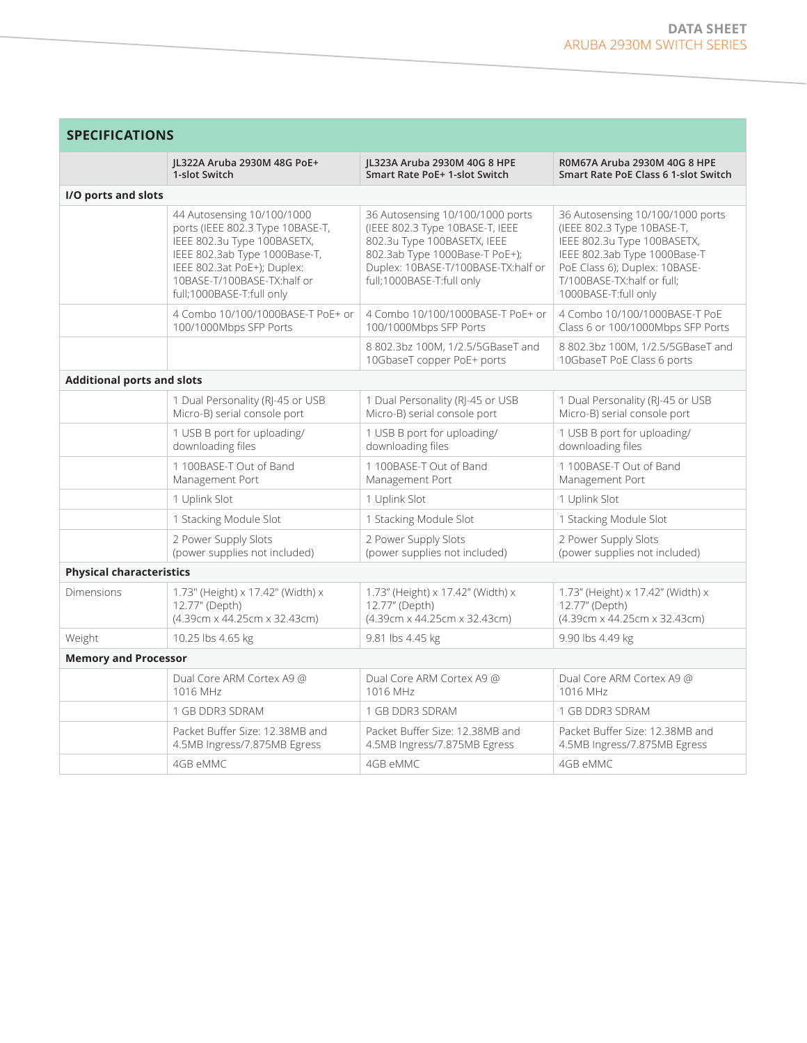|                                   | JL322A Aruba 2930M 48G PoE+                                                                                                                                                                                               | JL323A Aruba 2930M 40G 8 HPE                                                                                                                                                                             | R0M67A Aruba 2930M 40G 8 HPE                                                                                                                                                                                         |
|-----------------------------------|---------------------------------------------------------------------------------------------------------------------------------------------------------------------------------------------------------------------------|----------------------------------------------------------------------------------------------------------------------------------------------------------------------------------------------------------|----------------------------------------------------------------------------------------------------------------------------------------------------------------------------------------------------------------------|
|                                   | 1-slot Switch                                                                                                                                                                                                             | Smart Rate PoE+ 1-slot Switch                                                                                                                                                                            | Smart Rate PoE Class 6 1-slot Switch                                                                                                                                                                                 |
| I/O ports and slots               |                                                                                                                                                                                                                           |                                                                                                                                                                                                          |                                                                                                                                                                                                                      |
|                                   | 44 Autosensing 10/100/1000<br>ports (IEEE 802.3 Type 10BASE-T,<br>IEEE 802.3u Type 100BASETX,<br>IEEE 802.3ab Type 1000Base-T,<br>IEEE 802.3at PoE+); Duplex:<br>10BASE-T/100BASE-TX:half or<br>full;1000BASE-T:full only | 36 Autosensing 10/100/1000 ports<br>(IEEE 802.3 Type 10BASE-T, IEEE<br>802.3u Type 100BASETX, IEEE<br>802.3ab Type 1000Base-T PoE+);<br>Duplex: 10BASE-T/100BASE-TX:half or<br>full;1000BASE-T:full only | 36 Autosensing 10/100/1000 ports<br>(IEEE 802.3 Type 10BASE-T,<br>IEEE 802.3u Type 100BASETX,<br>IEEE 802.3ab Type 1000Base-T<br>PoE Class 6); Duplex: 10BASE-<br>T/100BASE-TX:half or full:<br>1000BASE-T:full only |
|                                   | 4 Combo 10/100/1000BASE-T PoE+ or<br>100/1000Mbps SFP Ports                                                                                                                                                               | 4 Combo 10/100/1000BASE-T PoE+ or<br>100/1000Mbps SFP Ports                                                                                                                                              | 4 Combo 10/100/1000BASE-T PoE<br>Class 6 or 100/1000Mbps SFP Ports                                                                                                                                                   |
|                                   |                                                                                                                                                                                                                           | 8 802.3bz 100M, 1/2.5/5GBaseT and<br>10GbaseT copper PoE+ ports                                                                                                                                          | 8 802.3bz 100M, 1/2.5/5GBaseT and<br>10GbaseT PoE Class 6 ports                                                                                                                                                      |
| <b>Additional ports and slots</b> |                                                                                                                                                                                                                           |                                                                                                                                                                                                          |                                                                                                                                                                                                                      |
|                                   | 1 Dual Personality (RJ-45 or USB<br>Micro-B) serial console port                                                                                                                                                          | 1 Dual Personality (RJ-45 or USB<br>Micro-B) serial console port                                                                                                                                         | 1 Dual Personality (RJ-45 or USB<br>Micro-B) serial console port                                                                                                                                                     |
|                                   | 1 USB B port for uploading/<br>downloading files                                                                                                                                                                          | 1 USB B port for uploading/<br>downloading files                                                                                                                                                         | 1 USB B port for uploading/<br>downloading files                                                                                                                                                                     |
|                                   | 1 100BASE-T Out of Band<br>Management Port                                                                                                                                                                                | 1 100BASE-T Out of Band<br>Management Port                                                                                                                                                               | 1 100BASE-T Out of Band<br>Management Port                                                                                                                                                                           |
|                                   | 1 Uplink Slot                                                                                                                                                                                                             | 1 Uplink Slot                                                                                                                                                                                            | 1 Uplink Slot                                                                                                                                                                                                        |
|                                   | 1 Stacking Module Slot                                                                                                                                                                                                    | 1 Stacking Module Slot                                                                                                                                                                                   | 1 Stacking Module Slot                                                                                                                                                                                               |
|                                   | 2 Power Supply Slots<br>(power supplies not included)                                                                                                                                                                     | 2 Power Supply Slots<br>(power supplies not included)                                                                                                                                                    | 2 Power Supply Slots<br>(power supplies not included)                                                                                                                                                                |
| <b>Physical characteristics</b>   |                                                                                                                                                                                                                           |                                                                                                                                                                                                          |                                                                                                                                                                                                                      |
| Dimensions                        | 1.73" (Height) x 17.42" (Width) x<br>12.77" (Depth)<br>(4.39cm x 44.25cm x 32.43cm)                                                                                                                                       | 1.73" (Height) x 17.42" (Width) x<br>12.77" (Depth)<br>(4.39cm x 44.25cm x 32.43cm)                                                                                                                      | 1.73" (Height) x 17.42" (Width) x<br>12.77" (Depth)<br>(4.39cm x 44.25cm x 32.43cm)                                                                                                                                  |
| Weight                            | 10.25 lbs 4.65 kg                                                                                                                                                                                                         | 9.81 lbs 4.45 kg                                                                                                                                                                                         | 9.90 lbs 4.49 kg                                                                                                                                                                                                     |
| <b>Memory and Processor</b>       |                                                                                                                                                                                                                           |                                                                                                                                                                                                          |                                                                                                                                                                                                                      |
|                                   | Dual Core ARM Cortex A9 @<br>1016 MHz                                                                                                                                                                                     | Dual Core ARM Cortex A9 @<br>1016 MHz                                                                                                                                                                    | Dual Core ARM Cortex A9 @<br>1016 MHz                                                                                                                                                                                |
|                                   | 1 GB DDR3 SDRAM                                                                                                                                                                                                           | 1 GB DDR3 SDRAM                                                                                                                                                                                          | 1 GB DDR3 SDRAM                                                                                                                                                                                                      |
|                                   | Packet Buffer Size: 12.38MB and<br>4.5MB Ingress/7.875MB Egress                                                                                                                                                           | Packet Buffer Size: 12.38MB and<br>4.5MB Ingress/7.875MB Egress                                                                                                                                          | Packet Buffer Size: 12.38MB and<br>4.5MB Ingress/7.875MB Egress                                                                                                                                                      |
|                                   | 4GB eMMC                                                                                                                                                                                                                  | 4GB eMMC                                                                                                                                                                                                 | 4GB eMMC                                                                                                                                                                                                             |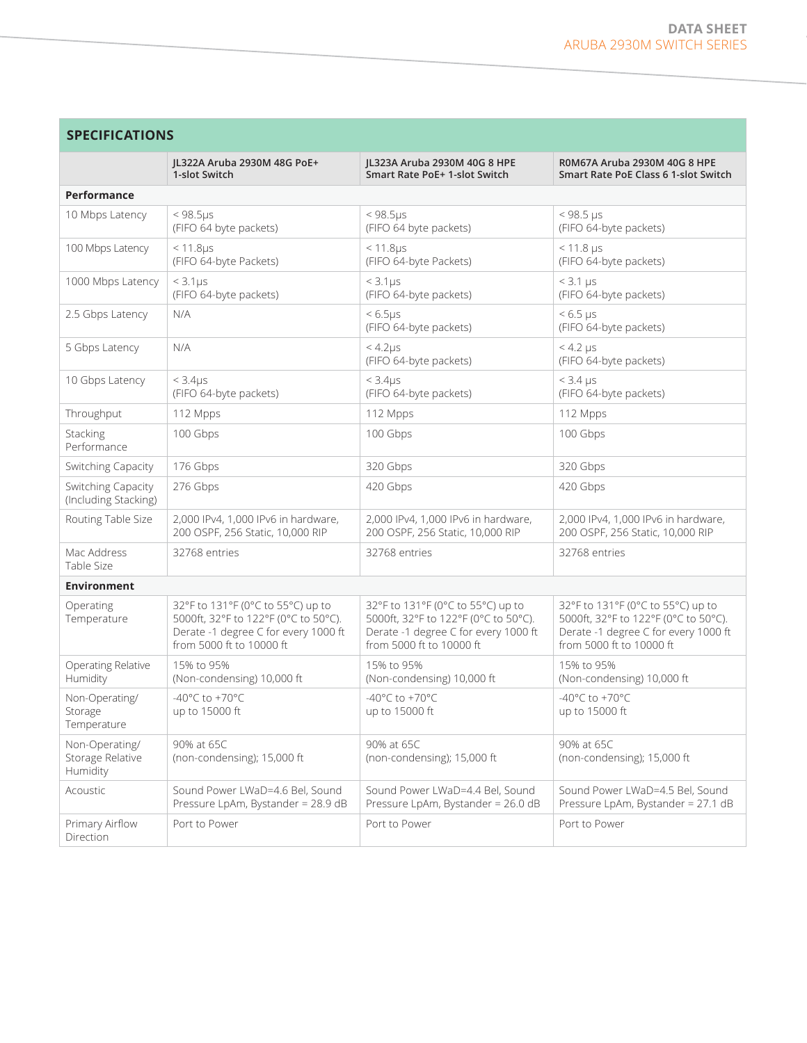# **SPECIFICATIONS**

|                                                | JL322A Aruba 2930M 48G PoE+<br>1-slot Switch                                                                                                  | JL323A Aruba 2930M 40G 8 HPE<br>Smart Rate PoE+ 1-slot Switch                                                                                 | R0M67A Aruba 2930M 40G 8 HPE<br>Smart Rate PoE Class 6 1-slot Switch                                                                          |
|------------------------------------------------|-----------------------------------------------------------------------------------------------------------------------------------------------|-----------------------------------------------------------------------------------------------------------------------------------------------|-----------------------------------------------------------------------------------------------------------------------------------------------|
| Performance                                    |                                                                                                                                               |                                                                                                                                               |                                                                                                                                               |
| 10 Mbps Latency                                | $< 98.5 \mu s$<br>(FIFO 64 byte packets)                                                                                                      | $< 98.5 \mu s$<br>(FIFO 64 byte packets)                                                                                                      | $< 98.5 \text{ }\mu\text{s}$<br>(FIFO 64-byte packets)                                                                                        |
| 100 Mbps Latency                               | $< 11.8 \mu s$<br>(FIFO 64-byte Packets)                                                                                                      | $< 11.8$ us<br>(FIFO 64-byte Packets)                                                                                                         | $< 11.8 \,\mu s$<br>(FIFO 64-byte packets)                                                                                                    |
| 1000 Mbps Latency                              | $<$ 3.1 $\mu$ s<br>(FIFO 64-byte packets)                                                                                                     | $<$ 3.1 $\mu$ s<br>(FIFO 64-byte packets)                                                                                                     | $<$ 3.1 $\mu$ s<br>(FIFO 64-byte packets)                                                                                                     |
| 2.5 Gbps Latency                               | N/A                                                                                                                                           | $< 6.5 \mu s$<br>(FIFO 64-byte packets)                                                                                                       | $< 6.5 \,\mu s$<br>(FIFO 64-byte packets)                                                                                                     |
| 5 Gbps Latency                                 | N/A                                                                                                                                           | $<$ 4.2 $\mu$ s<br>(FIFO 64-byte packets)                                                                                                     | $<$ 4.2 $\mu$ s<br>(FIFO 64-byte packets)                                                                                                     |
| 10 Gbps Latency                                | $<$ 3.4 $\mu$ s<br>(FIFO 64-byte packets)                                                                                                     | $<$ 3.4 $\mu$ s<br>(FIFO 64-byte packets)                                                                                                     | $<$ 3.4 $\mu$ s<br>(FIFO 64-byte packets)                                                                                                     |
| Throughput                                     | 112 Mpps                                                                                                                                      | 112 Mpps                                                                                                                                      | 112 Mpps                                                                                                                                      |
| Stacking<br>Performance                        | 100 Gbps                                                                                                                                      | 100 Gbps                                                                                                                                      | 100 Gbps                                                                                                                                      |
| Switching Capacity                             | 176 Gbps                                                                                                                                      | 320 Gbps                                                                                                                                      | 320 Gbps                                                                                                                                      |
| Switching Capacity<br>(Including Stacking)     | 276 Gbps                                                                                                                                      | 420 Gbps                                                                                                                                      | 420 Gbps                                                                                                                                      |
| Routing Table Size                             | 2,000 IPv4, 1,000 IPv6 in hardware,<br>200 OSPF, 256 Static, 10,000 RIP                                                                       | 2,000 IPv4, 1,000 IPv6 in hardware,<br>200 OSPF, 256 Static, 10,000 RIP                                                                       | 2,000 IPv4, 1,000 IPv6 in hardware,<br>200 OSPF, 256 Static, 10,000 RIP                                                                       |
| Mac Address<br>Table Size                      | 32768 entries                                                                                                                                 | 32768 entries                                                                                                                                 | 32768 entries                                                                                                                                 |
| <b>Environment</b>                             |                                                                                                                                               |                                                                                                                                               |                                                                                                                                               |
| Operating<br>Temperature                       | 32°F to 131°F (0°C to 55°C) up to<br>5000ft, 32°F to 122°F (0°C to 50°C).<br>Derate -1 degree C for every 1000 ft<br>from 5000 ft to 10000 ft | 32°F to 131°F (0°C to 55°C) up to<br>5000ft, 32°F to 122°F (0°C to 50°C).<br>Derate -1 degree C for every 1000 ft<br>from 5000 ft to 10000 ft | 32°F to 131°F (0°C to 55°C) up to<br>5000ft, 32°F to 122°F (0°C to 50°C).<br>Derate -1 degree C for every 1000 ft<br>from 5000 ft to 10000 ft |
| Operating Relative<br>Humidity                 | 15% to 95%<br>(Non-condensing) 10,000 ft                                                                                                      | 15% to 95%<br>(Non-condensing) 10,000 ft                                                                                                      | 15% to 95%<br>(Non-condensing) 10,000 ft                                                                                                      |
| Non-Operating/<br>Storage<br>Temperature       | $-40^{\circ}$ C to $+70^{\circ}$ C<br>up to 15000 ft                                                                                          | -40 $^{\circ}$ C to +70 $^{\circ}$ C<br>up to 15000 ft                                                                                        | -40 $^{\circ}$ C to +70 $^{\circ}$ C<br>up to 15000 ft                                                                                        |
| Non-Operating/<br>Storage Relative<br>Humidity | 90% at 65C<br>(non-condensing); 15,000 ft                                                                                                     | 90% at 65C<br>(non-condensing); 15,000 ft                                                                                                     | 90% at 65C<br>(non-condensing); 15,000 ft                                                                                                     |
| Acoustic                                       | Sound Power LWaD=4.6 Bel, Sound<br>Pressure LpAm, Bystander = 28.9 dB                                                                         | Sound Power LWaD=4.4 Bel, Sound<br>Pressure LpAm, Bystander = 26.0 dB                                                                         | Sound Power LWaD=4.5 Bel, Sound<br>Pressure LpAm, Bystander = 27.1 dB                                                                         |
| Primary Airflow<br>Direction                   | Port to Power                                                                                                                                 | Port to Power                                                                                                                                 | Port to Power                                                                                                                                 |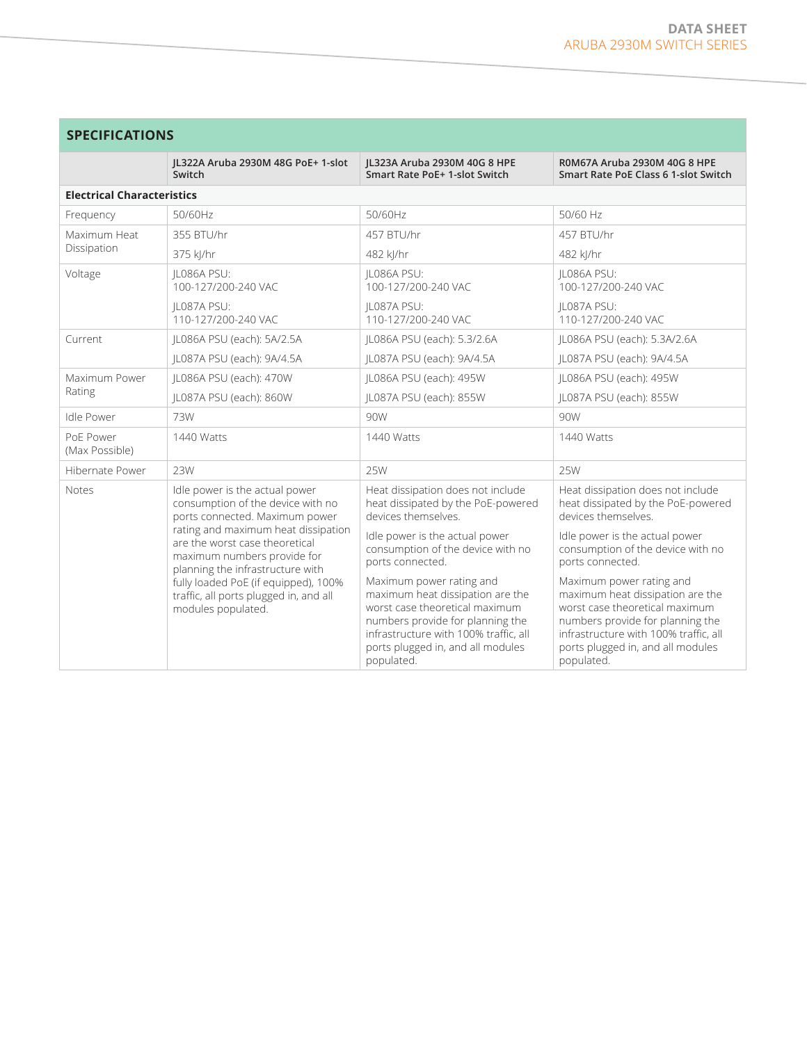| <b>SPECIFICATIONS</b>             |                                                                                                                                                                                                                                                                                                                                                           |                                                                                                                                                                                                                                |                                                                                                                                                                                                                                |
|-----------------------------------|-----------------------------------------------------------------------------------------------------------------------------------------------------------------------------------------------------------------------------------------------------------------------------------------------------------------------------------------------------------|--------------------------------------------------------------------------------------------------------------------------------------------------------------------------------------------------------------------------------|--------------------------------------------------------------------------------------------------------------------------------------------------------------------------------------------------------------------------------|
|                                   | IL322A Aruba 2930M 48G PoE+ 1-slot<br>Switch                                                                                                                                                                                                                                                                                                              | IL323A Aruba 2930M 40G 8 HPE<br>Smart Rate PoE+ 1-slot Switch                                                                                                                                                                  | R0M67A Aruba 2930M 40G 8 HPE<br>Smart Rate PoE Class 6 1-slot Switch                                                                                                                                                           |
| <b>Electrical Characteristics</b> |                                                                                                                                                                                                                                                                                                                                                           |                                                                                                                                                                                                                                |                                                                                                                                                                                                                                |
| Frequency                         | 50/60Hz                                                                                                                                                                                                                                                                                                                                                   | 50/60Hz                                                                                                                                                                                                                        | 50/60 Hz                                                                                                                                                                                                                       |
| Maximum Heat                      | 355 BTU/hr                                                                                                                                                                                                                                                                                                                                                | 457 BTU/hr                                                                                                                                                                                                                     | 457 BTU/hr                                                                                                                                                                                                                     |
| Dissipation                       | 375 kJ/hr                                                                                                                                                                                                                                                                                                                                                 | 482 kJ/hr                                                                                                                                                                                                                      | 482 kJ/hr                                                                                                                                                                                                                      |
| Voltage                           | IL086A PSU:<br>100-127/200-240 VAC                                                                                                                                                                                                                                                                                                                        | IL086A PSU:<br>100-127/200-240 VAC                                                                                                                                                                                             | IL086A PSU:<br>100-127/200-240 VAC                                                                                                                                                                                             |
|                                   | IL087A PSU:<br>110-127/200-240 VAC                                                                                                                                                                                                                                                                                                                        | IL087A PSU:<br>110-127/200-240 VAC                                                                                                                                                                                             | IL087A PSU:<br>110-127/200-240 VAC                                                                                                                                                                                             |
| Current                           | JL086A PSU (each): 5A/2.5A                                                                                                                                                                                                                                                                                                                                | JL086A PSU (each): 5.3/2.6A                                                                                                                                                                                                    | JL086A PSU (each): 5.3A/2.6A                                                                                                                                                                                                   |
|                                   | IL087A PSU (each): 9A/4.5A                                                                                                                                                                                                                                                                                                                                | IL087A PSU (each): 9A/4.5A                                                                                                                                                                                                     | IL087A PSU (each): 9A/4.5A                                                                                                                                                                                                     |
| Maximum Power                     | JL086A PSU (each): 470W                                                                                                                                                                                                                                                                                                                                   | JL086A PSU (each): 495W                                                                                                                                                                                                        | JL086A PSU (each): 495W                                                                                                                                                                                                        |
| Rating                            | IL087A PSU (each): 860W                                                                                                                                                                                                                                                                                                                                   | IL087A PSU (each): 855W                                                                                                                                                                                                        | IL087A PSU (each): 855W                                                                                                                                                                                                        |
| Idle Power                        | 73W                                                                                                                                                                                                                                                                                                                                                       | 90W                                                                                                                                                                                                                            | 90W                                                                                                                                                                                                                            |
| PoF Power<br>(Max Possible)       | 1440 Watts                                                                                                                                                                                                                                                                                                                                                | 1440 Watts                                                                                                                                                                                                                     | 1440 Watts                                                                                                                                                                                                                     |
| Hibernate Power                   | 23W                                                                                                                                                                                                                                                                                                                                                       | 25W                                                                                                                                                                                                                            | 25W                                                                                                                                                                                                                            |
| <b>Notes</b>                      | Idle power is the actual power<br>consumption of the device with no<br>ports connected. Maximum power<br>rating and maximum heat dissipation<br>are the worst case theoretical<br>maximum numbers provide for<br>planning the infrastructure with<br>fully loaded PoE (if equipped), 100%<br>traffic, all ports plugged in, and all<br>modules populated. | Heat dissipation does not include<br>heat dissipated by the PoE-powered<br>devices themselves.                                                                                                                                 | Heat dissipation does not include<br>heat dissipated by the PoE-powered<br>devices themselves.                                                                                                                                 |
|                                   |                                                                                                                                                                                                                                                                                                                                                           | Idle power is the actual power<br>consumption of the device with no<br>ports connected.                                                                                                                                        | Idle power is the actual power<br>consumption of the device with no<br>ports connected.                                                                                                                                        |
|                                   |                                                                                                                                                                                                                                                                                                                                                           | Maximum power rating and<br>maximum heat dissipation are the<br>worst case theoretical maximum<br>numbers provide for planning the<br>infrastructure with 100% traffic, all<br>ports plugged in, and all modules<br>populated. | Maximum power rating and<br>maximum heat dissipation are the<br>worst case theoretical maximum<br>numbers provide for planning the<br>infrastructure with 100% traffic, all<br>ports plugged in, and all modules<br>populated. |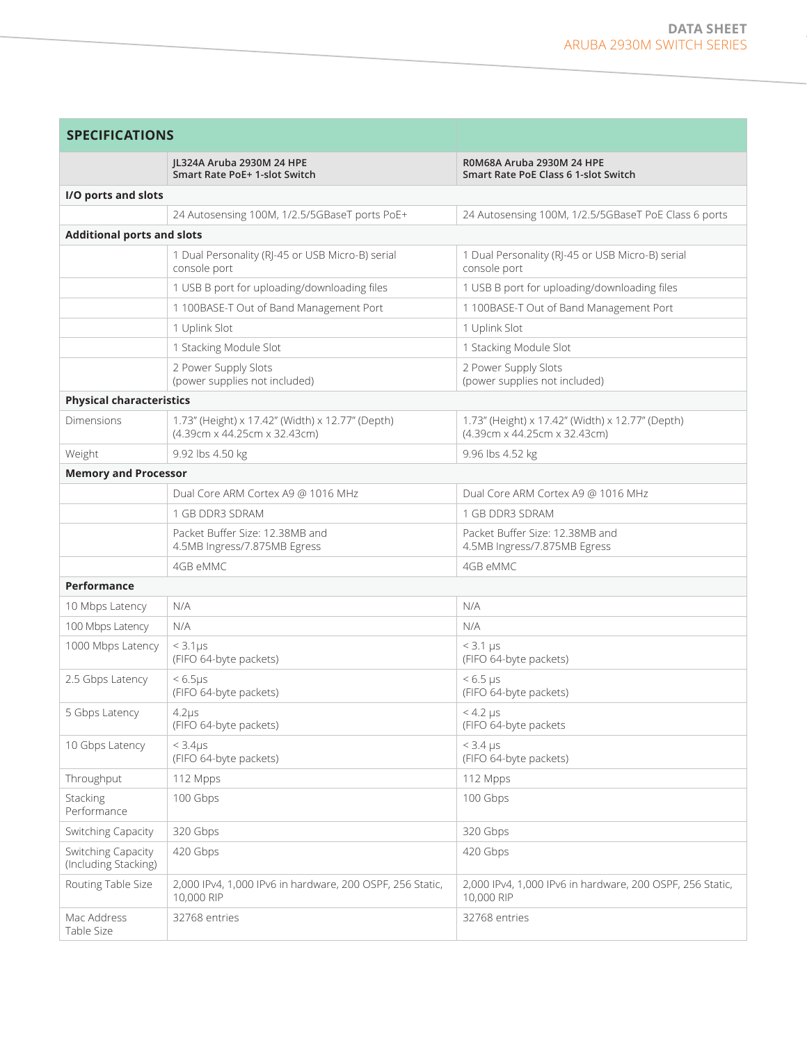the control of the control of the control of

| <b>SPECIFICATIONS</b>                      |                                                                                  |                                                                                  |  |
|--------------------------------------------|----------------------------------------------------------------------------------|----------------------------------------------------------------------------------|--|
|                                            | JL324A Aruba 2930M 24 HPE<br>Smart Rate PoE+ 1-slot Switch                       | R0M68A Aruba 2930M 24 HPE<br>Smart Rate PoE Class 6 1-slot Switch                |  |
| I/O ports and slots                        |                                                                                  |                                                                                  |  |
|                                            | 24 Autosensing 100M, 1/2.5/5GBaseT ports PoE+                                    | 24 Autosensing 100M, 1/2.5/5GBaseT PoE Class 6 ports                             |  |
| <b>Additional ports and slots</b>          |                                                                                  |                                                                                  |  |
|                                            | 1 Dual Personality (RJ-45 or USB Micro-B) serial<br>console port                 | 1 Dual Personality (RJ-45 or USB Micro-B) serial<br>console port                 |  |
|                                            | 1 USB B port for uploading/downloading files                                     | 1 USB B port for uploading/downloading files                                     |  |
|                                            | 1 100BASE-T Out of Band Management Port                                          | 1 100BASE-T Out of Band Management Port                                          |  |
|                                            | 1 Uplink Slot                                                                    | 1 Uplink Slot                                                                    |  |
|                                            | 1 Stacking Module Slot                                                           | 1 Stacking Module Slot                                                           |  |
|                                            | 2 Power Supply Slots<br>(power supplies not included)                            | 2 Power Supply Slots<br>(power supplies not included)                            |  |
| <b>Physical characteristics</b>            |                                                                                  |                                                                                  |  |
| <b>Dimensions</b>                          | 1.73" (Height) x 17.42" (Width) x 12.77" (Depth)<br>(4.39cm x 44.25cm x 32.43cm) | 1.73" (Height) x 17.42" (Width) x 12.77" (Depth)<br>(4.39cm x 44.25cm x 32.43cm) |  |
| Weight                                     | 9.92 lbs 4.50 kg                                                                 | 9.96 lbs 4.52 kg                                                                 |  |
| <b>Memory and Processor</b>                |                                                                                  |                                                                                  |  |
|                                            | Dual Core ARM Cortex A9 @ 1016 MHz                                               | Dual Core ARM Cortex A9 @ 1016 MHz                                               |  |
|                                            | 1 GB DDR3 SDRAM                                                                  | 1 GB DDR3 SDRAM                                                                  |  |
|                                            | Packet Buffer Size: 12.38MB and<br>4.5MB Ingress/7.875MB Egress                  | Packet Buffer Size: 12.38MB and<br>4.5MB Ingress/7.875MB Egress                  |  |
|                                            | 4GB eMMC                                                                         | 4GB eMMC                                                                         |  |
| <b>Performance</b>                         |                                                                                  |                                                                                  |  |
| 10 Mbps Latency                            | N/A                                                                              | N/A                                                                              |  |
| 100 Mbps Latency                           | N/A                                                                              | N/A                                                                              |  |
| 1000 Mbps Latency                          | $<$ 3.1 $\mu$ s<br>(FIFO 64-byte packets)                                        | $<$ 3.1 $\mu$ s<br>(FIFO 64-byte packets)                                        |  |
| 2.5 Gbps Latency                           | $< 6.5 \mu s$<br>(FIFO 64-byte packets)                                          | $< 6.5$ µs<br>(FIFO 64-byte packets)                                             |  |
| 5 Gbps Latency                             | $4.2\mu s$<br>(FIFO 64-byte packets)                                             | $<$ 4.2 $\mu$ s<br>(FIFO 64-byte packets                                         |  |
| 10 Gbps Latency                            | < 3.4 <sub>US</sub><br>(FIFO 64-byte packets)                                    | $<$ 3.4 $\mu$ s<br>(FIFO 64-byte packets)                                        |  |
| Throughput                                 | 112 Mpps                                                                         | 112 Mpps                                                                         |  |
| Stacking<br>Performance                    | 100 Gbps                                                                         | 100 Gbps                                                                         |  |
| Switching Capacity                         | 320 Gbps                                                                         | 320 Gbps                                                                         |  |
| Switching Capacity<br>(Including Stacking) | 420 Gbps                                                                         | 420 Gbps                                                                         |  |
| Routing Table Size                         | 2,000 IPv4, 1,000 IPv6 in hardware, 200 OSPF, 256 Static,<br>10,000 RIP          | 2,000 IPv4, 1,000 IPv6 in hardware, 200 OSPF, 256 Static,<br>10,000 RIP          |  |
| Mac Address<br>Table Size                  | 32768 entries                                                                    | 32768 entries                                                                    |  |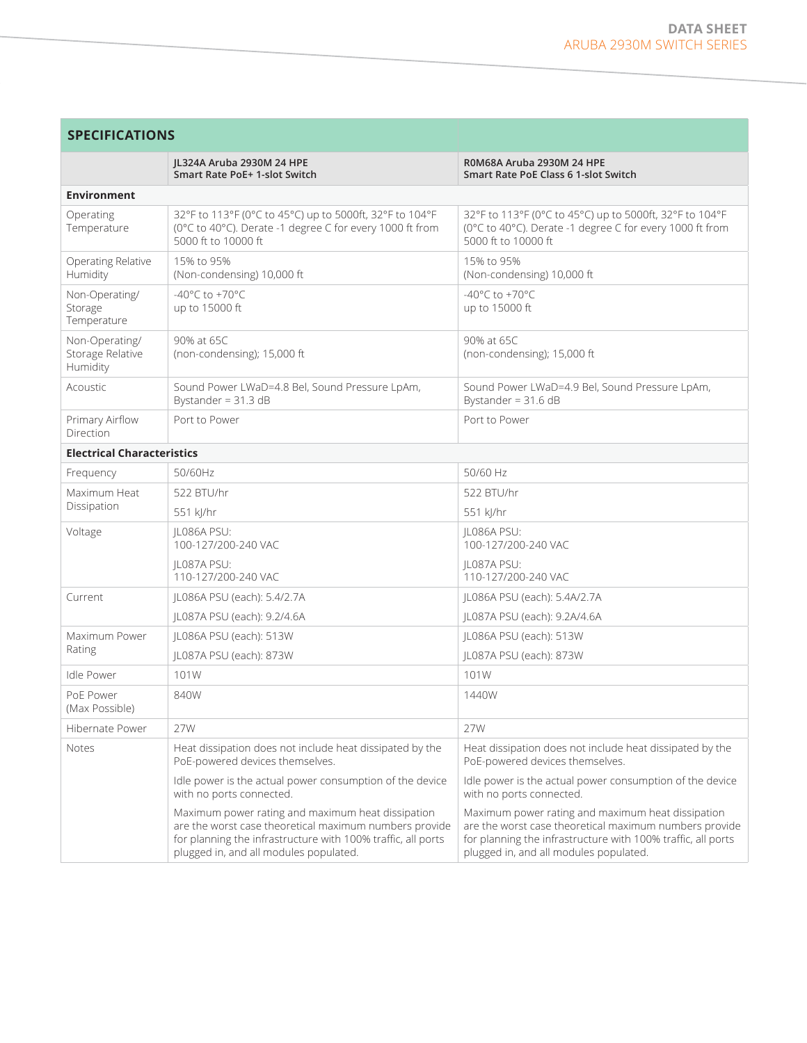| <b>SPECIFICATIONS</b>                          |                                                                                                                                                                                                                       |                                                                                                                                                                                                                       |  |
|------------------------------------------------|-----------------------------------------------------------------------------------------------------------------------------------------------------------------------------------------------------------------------|-----------------------------------------------------------------------------------------------------------------------------------------------------------------------------------------------------------------------|--|
|                                                | JL324A Aruba 2930M 24 HPE<br>Smart Rate PoE+ 1-slot Switch                                                                                                                                                            | R0M68A Aruba 2930M 24 HPE<br>Smart Rate PoE Class 6 1-slot Switch                                                                                                                                                     |  |
| <b>Environment</b>                             |                                                                                                                                                                                                                       |                                                                                                                                                                                                                       |  |
| Operating<br>Temperature                       | 32°F to 113°F (0°C to 45°C) up to 5000ft, 32°F to 104°F<br>(0°C to 40°C). Derate -1 degree C for every 1000 ft from<br>5000 ft to 10000 ft                                                                            | 32°F to 113°F (0°C to 45°C) up to 5000ft, 32°F to 104°F<br>(0°C to 40°C). Derate -1 degree C for every 1000 ft from<br>5000 ft to 10000 ft                                                                            |  |
| Operating Relative<br>Humidity                 | 15% to 95%<br>(Non-condensing) 10,000 ft                                                                                                                                                                              | 15% to 95%<br>(Non-condensing) 10,000 ft                                                                                                                                                                              |  |
| Non-Operating/<br>Storage<br>Temperature       | -40°C to +70°C<br>up to 15000 ft                                                                                                                                                                                      | -40 $^{\circ}$ C to +70 $^{\circ}$ C<br>up to 15000 ft                                                                                                                                                                |  |
| Non-Operating/<br>Storage Relative<br>Humidity | 90% at 65C<br>(non-condensing); 15,000 ft                                                                                                                                                                             | 90% at 65C<br>(non-condensing); 15,000 ft                                                                                                                                                                             |  |
| Acoustic                                       | Sound Power LWaD=4.8 Bel, Sound Pressure LpAm,<br>Bystander = $31.3$ dB                                                                                                                                               | Sound Power LWaD=4.9 Bel, Sound Pressure LpAm,<br>Bystander = $31.6$ dB                                                                                                                                               |  |
| Primary Airflow<br>Direction                   | Port to Power                                                                                                                                                                                                         | Port to Power                                                                                                                                                                                                         |  |
| <b>Electrical Characteristics</b>              |                                                                                                                                                                                                                       |                                                                                                                                                                                                                       |  |
| Frequency                                      | 50/60Hz                                                                                                                                                                                                               | 50/60 Hz                                                                                                                                                                                                              |  |
| Maximum Heat<br>Dissipation                    | 522 BTU/hr                                                                                                                                                                                                            | 522 BTU/hr                                                                                                                                                                                                            |  |
|                                                | 551 kJ/hr                                                                                                                                                                                                             | 551 kJ/hr                                                                                                                                                                                                             |  |
| Voltage                                        | IL086A PSU:<br>100-127/200-240 VAC                                                                                                                                                                                    | IL086A PSU:<br>100-127/200-240 VAC                                                                                                                                                                                    |  |
|                                                | IL087A PSU:<br>110-127/200-240 VAC                                                                                                                                                                                    | IL087A PSU:<br>110-127/200-240 VAC                                                                                                                                                                                    |  |
| Current                                        | JL086A PSU (each): 5.4/2.7A                                                                                                                                                                                           | JL086A PSU (each): 5.4A/2.7A                                                                                                                                                                                          |  |
|                                                | JL087A PSU (each): 9.2/4.6A                                                                                                                                                                                           | JL087A PSU (each): 9.2A/4.6A                                                                                                                                                                                          |  |
| Maximum Power                                  | JL086A PSU (each): 513W                                                                                                                                                                                               | JL086A PSU (each): 513W                                                                                                                                                                                               |  |
| Rating                                         | JL087A PSU (each): 873W                                                                                                                                                                                               | JL087A PSU (each): 873W                                                                                                                                                                                               |  |
| Idle Power                                     | 101W                                                                                                                                                                                                                  | 101W                                                                                                                                                                                                                  |  |
| PoE Power<br>(Max Possible)                    | 840W                                                                                                                                                                                                                  | 1440W                                                                                                                                                                                                                 |  |
| Hibernate Power                                | 27W                                                                                                                                                                                                                   | 27W                                                                                                                                                                                                                   |  |
| <b>Notes</b>                                   | Heat dissipation does not include heat dissipated by the<br>PoE-powered devices themselves.                                                                                                                           | Heat dissipation does not include heat dissipated by the<br>PoE-powered devices themselves.                                                                                                                           |  |
|                                                | Idle power is the actual power consumption of the device<br>with no ports connected.                                                                                                                                  | Idle power is the actual power consumption of the device<br>with no ports connected.                                                                                                                                  |  |
|                                                | Maximum power rating and maximum heat dissipation<br>are the worst case theoretical maximum numbers provide<br>for planning the infrastructure with 100% traffic, all ports<br>plugged in, and all modules populated. | Maximum power rating and maximum heat dissipation<br>are the worst case theoretical maximum numbers provide<br>for planning the infrastructure with 100% traffic, all ports<br>plugged in, and all modules populated. |  |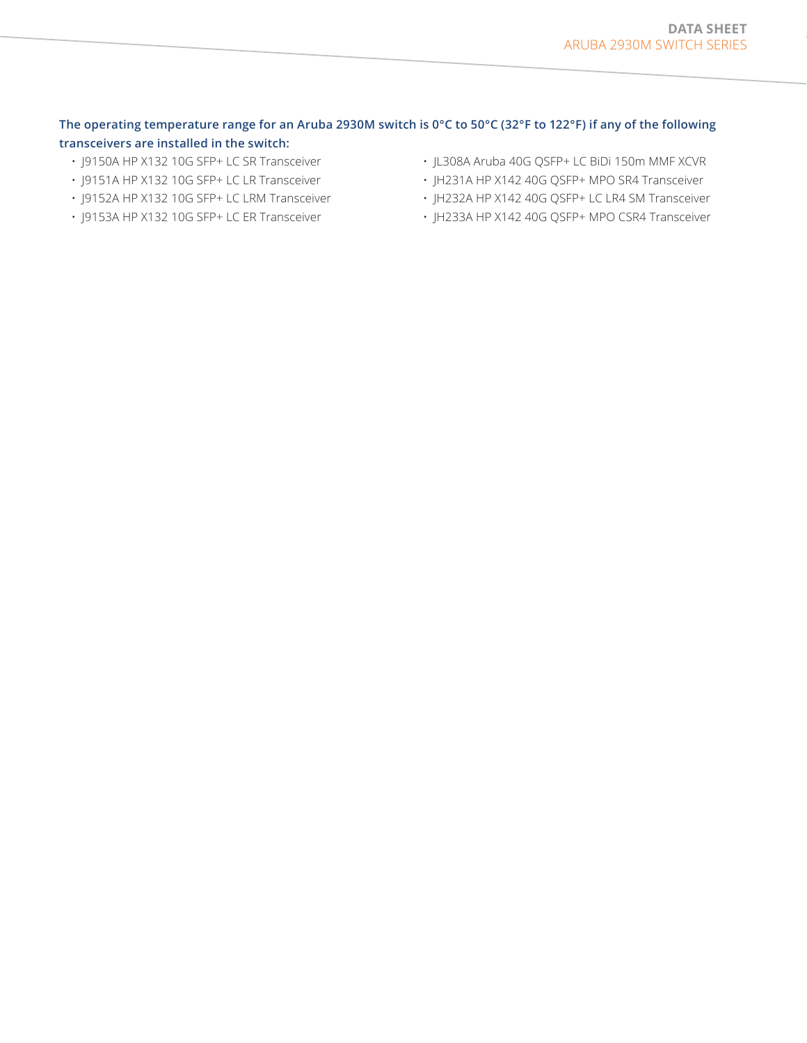## **The operating temperature range for an Aruba 2930M switch is 0°C to 50°C (32°F to 122°F) if any of the following transceivers are installed in the switch:**

- J9150A HP X132 10G SFP+ LC SR Transceiver
- J9151A HP X132 10G SFP+ LC LR Transceiver
- J9152A HP X132 10G SFP+ LC LRM Transceiver
- J9153A HP X132 10G SFP+ LC ER Transceiver
- JL308A Aruba 40G QSFP+ LC BiDi 150m MMF XCVR
- JH231A HP X142 40G QSFP+ MPO SR4 Transceiver
- JH232A HP X142 40G QSFP+ LC LR4 SM Transceiver
- JH233A HP X142 40G QSFP+ MPO CSR4 Transceiver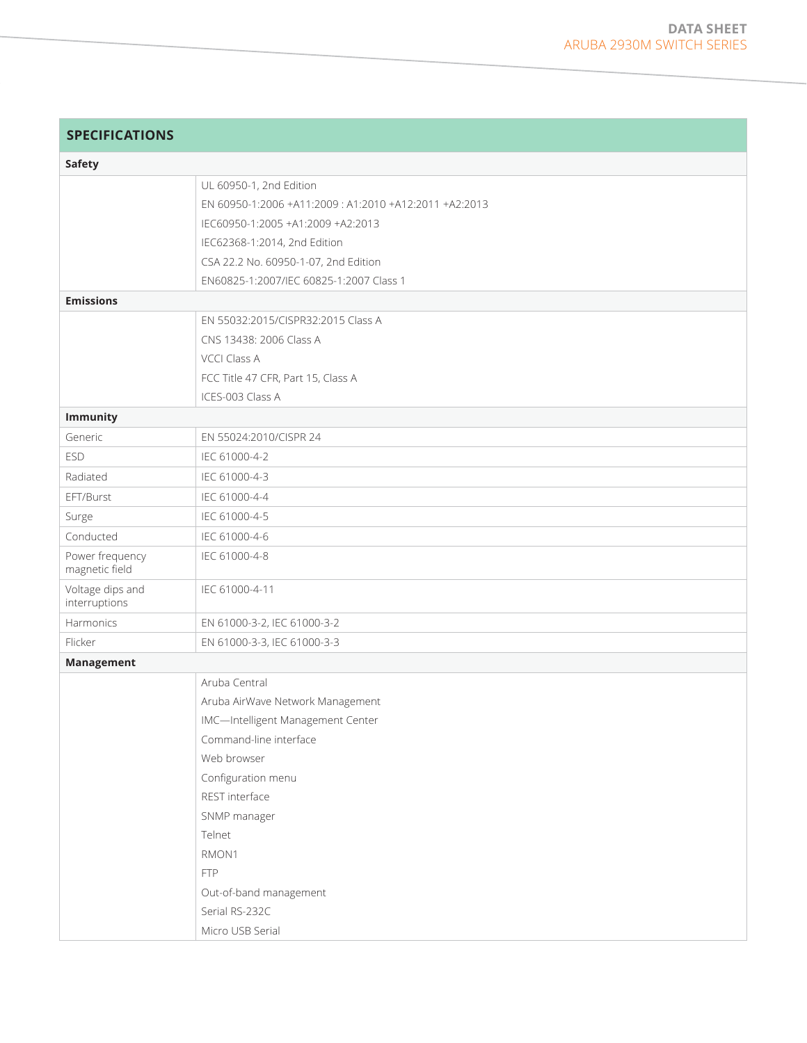| <b>SPECIFICATIONS</b>             |                                                        |
|-----------------------------------|--------------------------------------------------------|
| <b>Safety</b>                     |                                                        |
|                                   | UL 60950-1, 2nd Edition                                |
|                                   | EN 60950-1:2006 +A11:2009 : A1:2010 +A12:2011 +A2:2013 |
|                                   | IEC60950-1:2005 +A1:2009 +A2:2013                      |
|                                   | IEC62368-1:2014, 2nd Edition                           |
|                                   | CSA 22.2 No. 60950-1-07, 2nd Edition                   |
|                                   | EN60825-1:2007/IEC 60825-1:2007 Class 1                |
| <b>Emissions</b>                  |                                                        |
|                                   | EN 55032:2015/CISPR32:2015 Class A                     |
|                                   | CNS 13438: 2006 Class A                                |
|                                   | <b>VCCI Class A</b>                                    |
|                                   | FCC Title 47 CFR, Part 15, Class A                     |
|                                   | ICES-003 Class A                                       |
| <b>Immunity</b>                   |                                                        |
| Generic                           | EN 55024:2010/CISPR 24                                 |
| <b>ESD</b>                        | IEC 61000-4-2                                          |
| Radiated                          | IEC 61000-4-3                                          |
| EFT/Burst                         | IEC 61000-4-4                                          |
| Surge                             | IEC 61000-4-5                                          |
| Conducted                         | IEC 61000-4-6                                          |
| Power frequency<br>magnetic field | IEC 61000-4-8                                          |
| Voltage dips and<br>interruptions | IEC 61000-4-11                                         |
| Harmonics                         | EN 61000-3-2, IEC 61000-3-2                            |
| Flicker                           | EN 61000-3-3, IEC 61000-3-3                            |
| Management                        |                                                        |
|                                   | Aruba Central                                          |
|                                   | Aruba AirWave Network Management                       |
|                                   | IMC-Intelligent Management Center                      |
|                                   | Command-line interface                                 |
|                                   | Web browser                                            |
|                                   | Configuration menu                                     |
|                                   | REST interface                                         |
|                                   | SNMP manager                                           |
|                                   | Telnet                                                 |
|                                   | RMON1                                                  |
|                                   | <b>FTP</b>                                             |
|                                   | Out-of-band management                                 |
|                                   | Serial RS-232C                                         |
|                                   | Micro USB Serial                                       |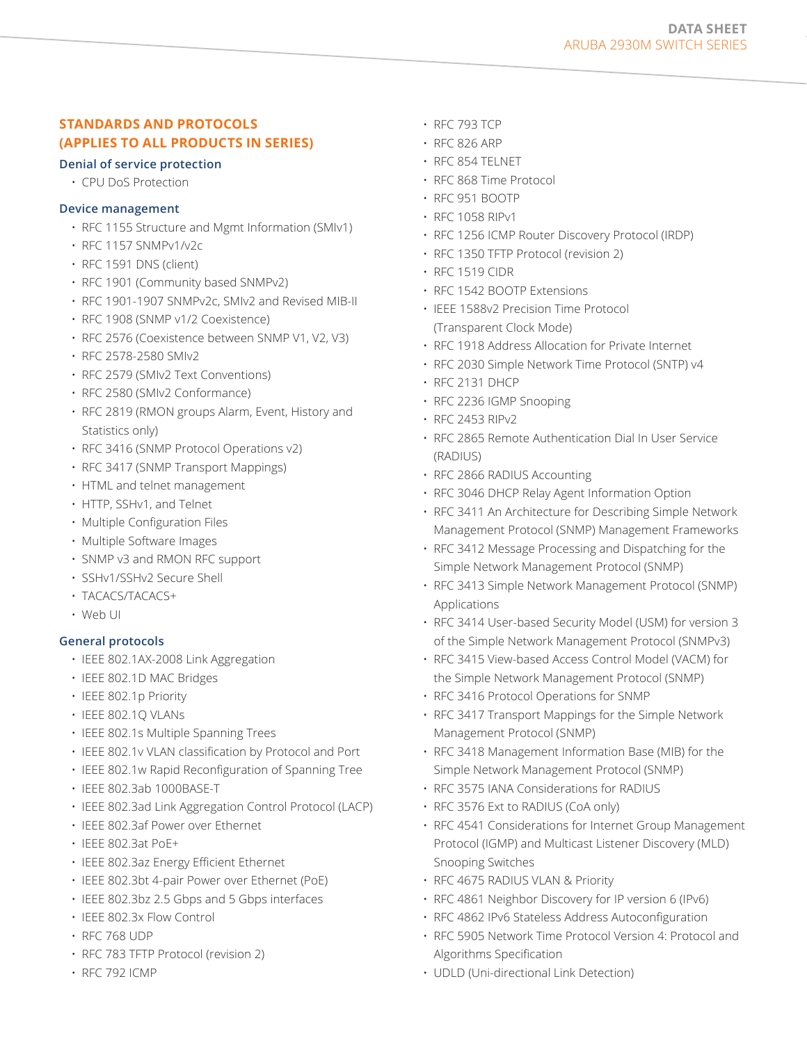# **STANDARDS AND PROTOCOLS (APPLIES TO ALL PRODUCTS IN SERIES)**

#### **Denial of service protection**

• CPU DoS Protection

#### **Device management**

- RFC 1155 Structure and Mgmt Information (SMIv1)
- RFC 1157 SNMPv1/v2c
- RFC 1591 DNS (client)
- RFC 1901 (Community based SNMPv2)
- RFC 1901-1907 SNMPv2c, SMIv2 and Revised MIB-II
- RFC 1908 (SNMP v1/2 Coexistence)
- RFC 2576 (Coexistence between SNMP V1, V2, V3)
- RFC 2578-2580 SMIv2
- RFC 2579 (SMIv2 Text Conventions)
- RFC 2580 (SMIv2 Conformance)
- RFC 2819 (RMON groups Alarm, Event, History and Statistics only)
- RFC 3416 (SNMP Protocol Operations v2)
- RFC 3417 (SNMP Transport Mappings)
- HTML and telnet management
- HTTP, SSHv1, and Telnet
- Multiple Configuration Files
- Multiple Software Images
- SNMP v3 and RMON RFC support
- SSHv1/SSHv2 Secure Shell
- TACACS/TACACS+
- Web UI

#### **General protocols**

- IEEE 802.1AX-2008 Link Aggregation
- IEEE 802.1D MAC Bridges
- IEEE 802.1p Priority
- IEEE 802.1Q VLANs
- IEEE 802.1s Multiple Spanning Trees
- IEEE 802.1v VLAN classification by Protocol and Port
- IEEE 802.1w Rapid Reconfiguration of Spanning Tree
- IEEE 802.3ab 1000BASE-T
- IEEE 802.3ad Link Aggregation Control Protocol (LACP)
- IEEE 802.3af Power over Ethernet
- IEEE 802.3at PoE+
- IEEE 802.3az Energy Efficient Ethernet
- IEEE 802.3bt 4-pair Power over Ethernet (PoE)
- IEEE 802.3bz 2.5 Gbps and 5 Gbps interfaces
- IEEE 802.3x Flow Control
- RFC 768 UDP
- RFC 783 TFTP Protocol (revision 2)
- RFC 792 ICMP
- RFC 793 TCP
- RFC 826 ARP
- RFC 854 TELNET
- RFC 868 Time Protocol
- RFC 951 BOOTP
- RFC 1058 RIPv1
- RFC 1256 ICMP Router Discovery Protocol (IRDP)
- RFC 1350 TFTP Protocol (revision 2)
- RFC 1519 CIDR
- RFC 1542 BOOTP Extensions
- IEEE 1588v2 Precision Time Protocol (Transparent Clock Mode)
- RFC 1918 Address Allocation for Private Internet
- RFC 2030 Simple Network Time Protocol (SNTP) v4
- RFC 2131 DHCP
- RFC 2236 IGMP Snooping
- RFC 2453 RIPv2
- RFC 2865 Remote Authentication Dial In User Service (RADIUS)
- RFC 2866 RADIUS Accounting
- RFC 3046 DHCP Relay Agent Information Option
- RFC 3411 An Architecture for Describing Simple Network Management Protocol (SNMP) Management Frameworks
- RFC 3412 Message Processing and Dispatching for the Simple Network Management Protocol (SNMP)
- RFC 3413 Simple Network Management Protocol (SNMP) Applications
- RFC 3414 User-based Security Model (USM) for version 3 of the Simple Network Management Protocol (SNMPv3)
- RFC 3415 View-based Access Control Model (VACM) for the Simple Network Management Protocol (SNMP)
- RFC 3416 Protocol Operations for SNMP
- RFC 3417 Transport Mappings for the Simple Network Management Protocol (SNMP)
- RFC 3418 Management Information Base (MIB) for the Simple Network Management Protocol (SNMP)
- RFC 3575 IANA Considerations for RADIUS
- RFC 3576 Ext to RADIUS (CoA only)
- RFC 4541 Considerations for Internet Group Management Protocol (IGMP) and Multicast Listener Discovery (MLD) Snooping Switches
- RFC 4675 RADIUS VLAN & Priority
- RFC 4861 Neighbor Discovery for IP version 6 (IPv6)
- RFC 4862 IPv6 Stateless Address Autoconfiguration
- RFC 5905 Network Time Protocol Version 4: Protocol and Algorithms Specification
- UDLD (Uni-directional Link Detection)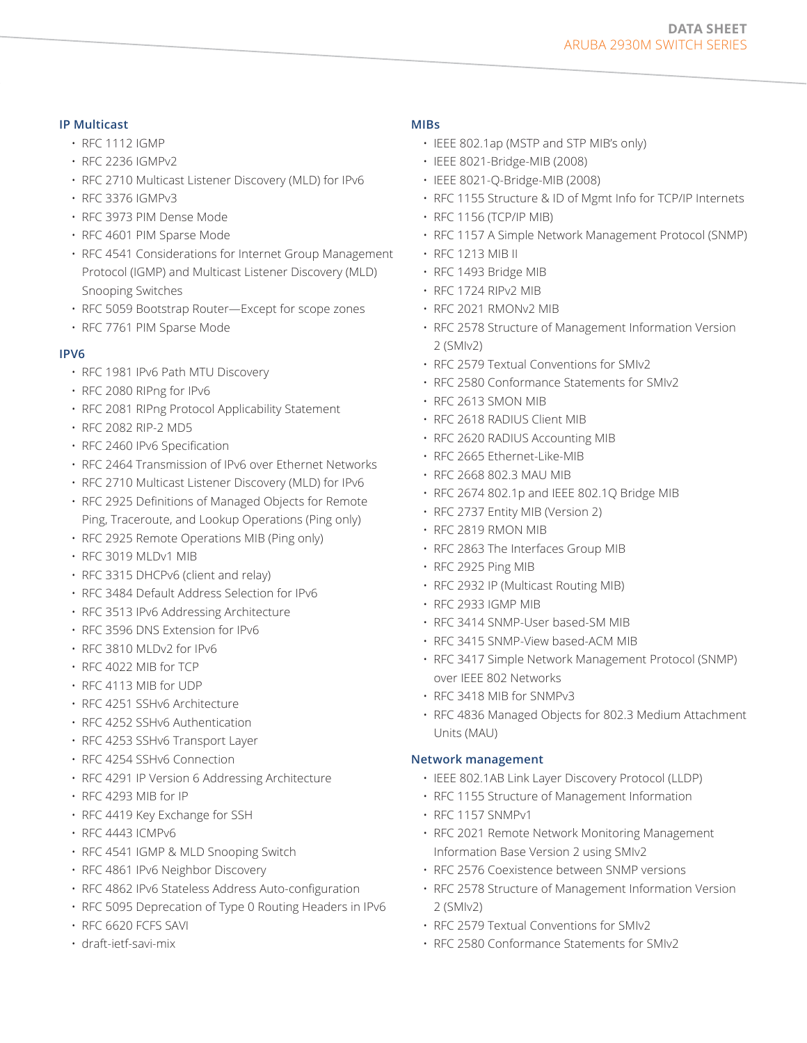## **DATA SHEET**  ARUBA 2930M SWITCH SERIES

## **IP Multicast**

- RFC 1112 IGMP
- RFC 2236 IGMPv2
- RFC 2710 Multicast Listener Discovery (MLD) for IPv6
- RFC 3376 IGMPv3
- RFC 3973 PIM Dense Mode
- RFC 4601 PIM Sparse Mode
- RFC 4541 Considerations for Internet Group Management Protocol (IGMP) and Multicast Listener Discovery (MLD) Snooping Switches
- RFC 5059 Bootstrap Router—Except for scope zones
- RFC 7761 PIM Sparse Mode

## **IPV6**

- RFC 1981 IPv6 Path MTU Discovery
- RFC 2080 RIPng for IPv6
- RFC 2081 RIPng Protocol Applicability Statement
- RFC 2082 RIP-2 MD5
- RFC 2460 IPv6 Specification
- RFC 2464 Transmission of IPv6 over Ethernet Networks
- RFC 2710 Multicast Listener Discovery (MLD) for IPv6
- RFC 2925 Definitions of Managed Objects for Remote Ping, Traceroute, and Lookup Operations (Ping only)
- RFC 2925 Remote Operations MIB (Ping only)
- RFC 3019 MLDv1 MIB
- RFC 3315 DHCPv6 (client and relay)
- RFC 3484 Default Address Selection for IPv6
- RFC 3513 IPv6 Addressing Architecture
- RFC 3596 DNS Extension for IPv6
- RFC 3810 MLDv2 for IPv6
- RFC 4022 MIB for TCP
- RFC 4113 MIB for UDP
- RFC 4251 SSHv6 Architecture
- RFC 4252 SSHv6 Authentication
- RFC 4253 SSHv6 Transport Layer
- RFC 4254 SSHv6 Connection
- RFC 4291 IP Version 6 Addressing Architecture
- RFC 4293 MIB for IP
- RFC 4419 Key Exchange for SSH
- RFC 4443 ICMPv6
- RFC 4541 IGMP & MLD Snooping Switch
- RFC 4861 IPv6 Neighbor Discovery
- RFC 4862 IPv6 Stateless Address Auto-configuration
- RFC 5095 Deprecation of Type 0 Routing Headers in IPv6
- RFC 6620 FCFS SAVI
- draft-ietf-savi-mix

## **MIBs**

- IEEE 802.1ap (MSTP and STP MIB's only)
- IEEE 8021-Bridge-MIB (2008)
- IEEE 8021-Q-Bridge-MIB (2008)
- RFC 1155 Structure & ID of Mgmt Info for TCP/IP Internets
- RFC 1156 (TCP/IP MIB)
- RFC 1157 A Simple Network Management Protocol (SNMP)
- RFC 1213 MIB II
- RFC 1493 Bridge MIB
- RFC 1724 RIPv2 MIB
- RFC 2021 RMONv2 MIB
- RFC 2578 Structure of Management Information Version 2 (SMIv2)
- RFC 2579 Textual Conventions for SMIv2
- RFC 2580 Conformance Statements for SMIv2
- RFC 2613 SMON MIB
- RFC 2618 RADIUS Client MIB
- RFC 2620 RADIUS Accounting MIB
- RFC 2665 Ethernet-Like-MIB
- RFC 2668 802.3 MAU MIB
- RFC 2674 802.1p and IEEE 802.1Q Bridge MIB
- RFC 2737 Entity MIB (Version 2)
- RFC 2819 RMON MIB
- RFC 2863 The Interfaces Group MIB
- RFC 2925 Ping MIB
- RFC 2932 IP (Multicast Routing MIB)
- RFC 2933 IGMP MIB
- RFC 3414 SNMP-User based-SM MIB
- RFC 3415 SNMP-View based-ACM MIB
- RFC 3417 Simple Network Management Protocol (SNMP) over IEEE 802 Networks
- RFC 3418 MIB for SNMPv3
- RFC 4836 Managed Objects for 802.3 Medium Attachment Units (MAU)

#### **Network management**

- IEEE 802.1AB Link Layer Discovery Protocol (LLDP)
- RFC 1155 Structure of Management Information
- RFC 1157 SNMPv1
- RFC 2021 Remote Network Monitoring Management Information Base Version 2 using SMIv2
- RFC 2576 Coexistence between SNMP versions
- RFC 2578 Structure of Management Information Version 2 (SMIv2)
- RFC 2579 Textual Conventions for SMIv2
- RFC 2580 Conformance Statements for SMIv2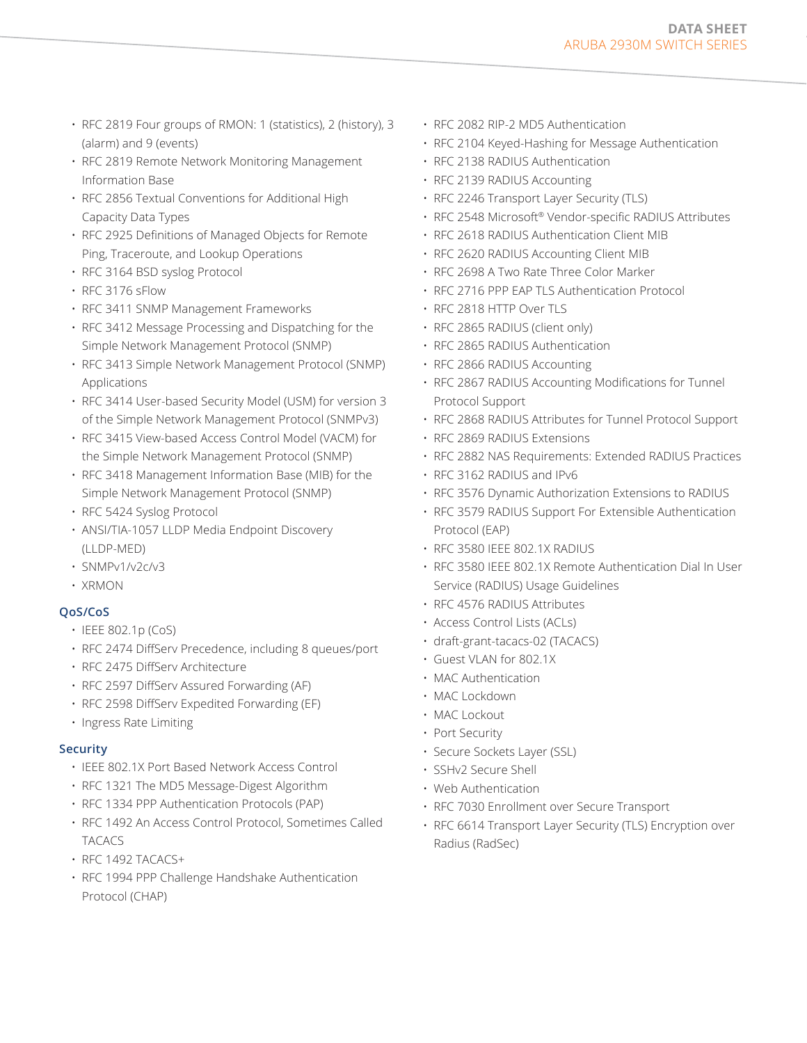- RFC 2819 Four groups of RMON: 1 (statistics), 2 (history), 3 (alarm) and 9 (events)
- RFC 2819 Remote Network Monitoring Management Information Base
- RFC 2856 Textual Conventions for Additional High Capacity Data Types
- RFC 2925 Definitions of Managed Objects for Remote Ping, Traceroute, and Lookup Operations
- RFC 3164 BSD syslog Protocol
- RFC 3176 sFlow
- RFC 3411 SNMP Management Frameworks
- RFC 3412 Message Processing and Dispatching for the Simple Network Management Protocol (SNMP)
- RFC 3413 Simple Network Management Protocol (SNMP) Applications
- RFC 3414 User-based Security Model (USM) for version 3 of the Simple Network Management Protocol (SNMPv3)
- RFC 3415 View-based Access Control Model (VACM) for the Simple Network Management Protocol (SNMP)
- RFC 3418 Management Information Base (MIB) for the Simple Network Management Protocol (SNMP)
- RFC 5424 Syslog Protocol
- ANSI/TIA-1057 LLDP Media Endpoint Discovery (LLDP-MED)
- SNMPv1/v2c/v3
- XRMON

# **QoS/CoS**

- IEEE 802.1p (CoS)
- RFC 2474 DiffServ Precedence, including 8 queues/port
- RFC 2475 DiffServ Architecture
- RFC 2597 DiffServ Assured Forwarding (AF)
- RFC 2598 DiffServ Expedited Forwarding (EF)
- Ingress Rate Limiting

## **Security**

- IEEE 802.1X Port Based Network Access Control
- RFC 1321 The MD5 Message-Digest Algorithm
- RFC 1334 PPP Authentication Protocols (PAP)
- RFC 1492 An Access Control Protocol, Sometimes Called TACACS
- RFC 1492 TACACS+
- RFC 1994 PPP Challenge Handshake Authentication Protocol (CHAP)
- RFC 2082 RIP-2 MD5 Authentication
- RFC 2104 Keyed-Hashing for Message Authentication
- RFC 2138 RADIUS Authentication
- RFC 2139 RADIUS Accounting
- RFC 2246 Transport Layer Security (TLS)
- RFC 2548 Microsoft® Vendor-specific RADIUS Attributes
- RFC 2618 RADIUS Authentication Client MIB
- RFC 2620 RADIUS Accounting Client MIB
- RFC 2698 A Two Rate Three Color Marker
- RFC 2716 PPP EAP TLS Authentication Protocol
- RFC 2818 HTTP Over TLS
- RFC 2865 RADIUS (client only)
- RFC 2865 RADIUS Authentication
- RFC 2866 RADIUS Accounting
- RFC 2867 RADIUS Accounting Modifications for Tunnel Protocol Support
- RFC 2868 RADIUS Attributes for Tunnel Protocol Support
- RFC 2869 RADIUS Extensions
- RFC 2882 NAS Requirements: Extended RADIUS Practices
- RFC 3162 RADIUS and IPv6
- RFC 3576 Dynamic Authorization Extensions to RADIUS
- RFC 3579 RADIUS Support For Extensible Authentication Protocol (EAP)
- RFC 3580 IEEE 802.1X RADIUS
- RFC 3580 IEEE 802.1X Remote Authentication Dial In User Service (RADIUS) Usage Guidelines
- RFC 4576 RADIUS Attributes
- Access Control Lists (ACLs)
- draft-grant-tacacs-02 (TACACS)
- Guest VLAN for 802.1X
- MAC Authentication
- MAC Lockdown
- MAC Lockout
- Port Security
- Secure Sockets Layer (SSL)
- SSHv2 Secure Shell
- Web Authentication
- RFC 7030 Enrollment over Secure Transport
- RFC 6614 Transport Layer Security (TLS) Encryption over Radius (RadSec)